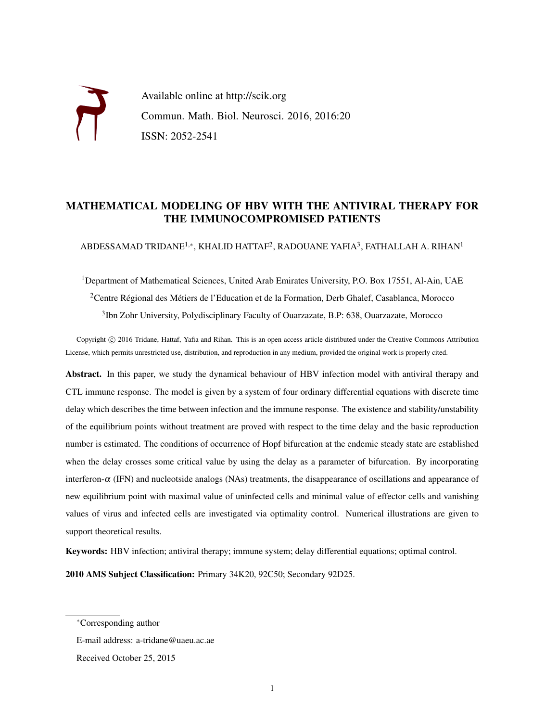Available online at http://scik.org Commun. Math. Biol. Neurosci. 2016, 2016:20 ISSN: 2052-2541

## MATHEMATICAL MODELING OF HBV WITH THE ANTIVIRAL THERAPY FOR THE IMMUNOCOMPROMISED PATIENTS

ABDESSAMAD TRIDANE $^{1,\ast}$ , KHALID HATTAF $^2$ , RADOUANE YAFIA $^3$ , FATHALLAH A. RIHAN $^1$ 

<sup>1</sup>Department of Mathematical Sciences, United Arab Emirates University, P.O. Box 17551, Al-Ain, UAE <sup>2</sup> Centre Régional des Métiers de l'Education et de la Formation, Derb Ghalef, Casablanca, Morocco <sup>3</sup>Ibn Zohr University, Polydisciplinary Faculty of Ouarzazate, B.P: 638, Ouarzazate, Morocco

Copyright (c) 2016 Tridane, Hattaf, Yafia and Rihan. This is an open access article distributed under the Creative Commons Attribution License, which permits unrestricted use, distribution, and reproduction in any medium, provided the original work is properly cited.

Abstract. In this paper, we study the dynamical behaviour of HBV infection model with antiviral therapy and CTL immune response. The model is given by a system of four ordinary differential equations with discrete time delay which describes the time between infection and the immune response. The existence and stability/unstability of the equilibrium points without treatment are proved with respect to the time delay and the basic reproduction number is estimated. The conditions of occurrence of Hopf bifurcation at the endemic steady state are established when the delay crosses some critical value by using the delay as a parameter of bifurcation. By incorporating interferon- $\alpha$  (IFN) and nucleotside analogs (NAs) treatments, the disappearance of oscillations and appearance of new equilibrium point with maximal value of uninfected cells and minimal value of effector cells and vanishing values of virus and infected cells are investigated via optimality control. Numerical illustrations are given to support theoretical results.

Keywords: HBV infection; antiviral therapy; immune system; delay differential equations; optimal control.

2010 AMS Subject Classification: Primary 34K20, 92C50; Secondary 92D25.

<sup>∗</sup>Corresponding author

E-mail address: a-tridane@uaeu.ac.ae

Received October 25, 2015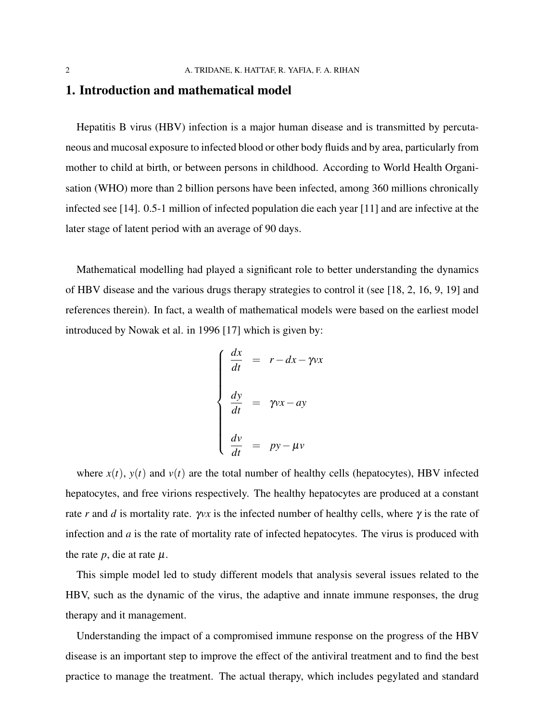## 1. Introduction and mathematical model

Hepatitis B virus (HBV) infection is a major human disease and is transmitted by percutaneous and mucosal exposure to infected blood or other body fluids and by area, particularly from mother to child at birth, or between persons in childhood. According to World Health Organisation (WHO) more than 2 billion persons have been infected, among 360 millions chronically infected see [14]. 0.5-1 million of infected population die each year [11] and are infective at the later stage of latent period with an average of 90 days.

Mathematical modelling had played a significant role to better understanding the dynamics of HBV disease and the various drugs therapy strategies to control it (see [18, 2, 16, 9, 19] and references therein). In fact, a wealth of mathematical models were based on the earliest model introduced by Nowak et al. in 1996 [17] which is given by:

$$
\begin{cases}\n\frac{dx}{dt} = r - dx - \gamma v x \\
\frac{dy}{dt} = \gamma v x - ay \\
\frac{dv}{dt} = py - \mu v\n\end{cases}
$$

where  $x(t)$ ,  $y(t)$  and  $v(t)$  are the total number of healthy cells (hepatocytes), HBV infected hepatocytes, and free virions respectively. The healthy hepatocytes are produced at a constant rate *r* and *d* is mortality rate.  $\gamma v x$  is the infected number of healthy cells, where  $\gamma$  is the rate of infection and *a* is the rate of mortality rate of infected hepatocytes. The virus is produced with the rate  $p$ , die at rate  $\mu$ .

This simple model led to study different models that analysis several issues related to the HBV, such as the dynamic of the virus, the adaptive and innate immune responses, the drug therapy and it management.

Understanding the impact of a compromised immune response on the progress of the HBV disease is an important step to improve the effect of the antiviral treatment and to find the best practice to manage the treatment. The actual therapy, which includes pegylated and standard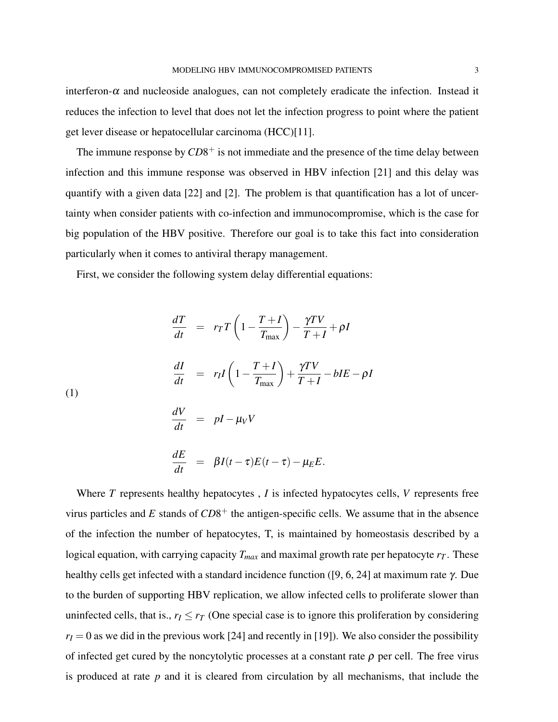interferon- $\alpha$  and nucleoside analogues, can not completely eradicate the infection. Instead it reduces the infection to level that does not let the infection progress to point where the patient get lever disease or hepatocellular carcinoma (HCC)[11].

The immune response by  $CD8^+$  is not immediate and the presence of the time delay between infection and this immune response was observed in HBV infection [21] and this delay was quantify with a given data [22] and [2]. The problem is that quantification has a lot of uncertainty when consider patients with co-infection and immunocompromise, which is the case for big population of the HBV positive. Therefore our goal is to take this fact into consideration particularly when it comes to antiviral therapy management.

First, we consider the following system delay differential equations:

$$
\frac{dT}{dt} = r_T T \left( 1 - \frac{T + I}{T_{\text{max}}} \right) - \frac{\gamma T V}{T + I} + \rho I
$$
\n
$$
\frac{dI}{dt} = r_I I \left( 1 - \frac{T + I}{T_{\text{max}}} \right) + \frac{\gamma T V}{T + I} - bI E - \rho I
$$
\n(1)\n
$$
\frac{dV}{dt} = pI - \mu_V V
$$

*dt*

$$
\frac{dE}{dt} = \beta I(t-\tau)E(t-\tau) - \mu_E E.
$$

Where *T* represents healthy hepatocytes , *I* is infected hypatocytes cells, *V* represents free virus particles and  $E$  stands of  $CD8<sup>+</sup>$  the antigen-specific cells. We assume that in the absence of the infection the number of hepatocytes, T, is maintained by homeostasis described by a logical equation, with carrying capacity  $T_{max}$  and maximal growth rate per hepatocyte  $r_T$ . These healthy cells get infected with a standard incidence function ([9, 6, 24] at maximum rate γ. Due to the burden of supporting HBV replication, we allow infected cells to proliferate slower than uninfected cells, that is.,  $r_I \leq r_I$  (One special case is to ignore this proliferation by considering  $r_I = 0$  as we did in the previous work [24] and recently in [19]). We also consider the possibility of infected get cured by the noncytolytic processes at a constant rate  $\rho$  per cell. The free virus is produced at rate *p* and it is cleared from circulation by all mechanisms, that include the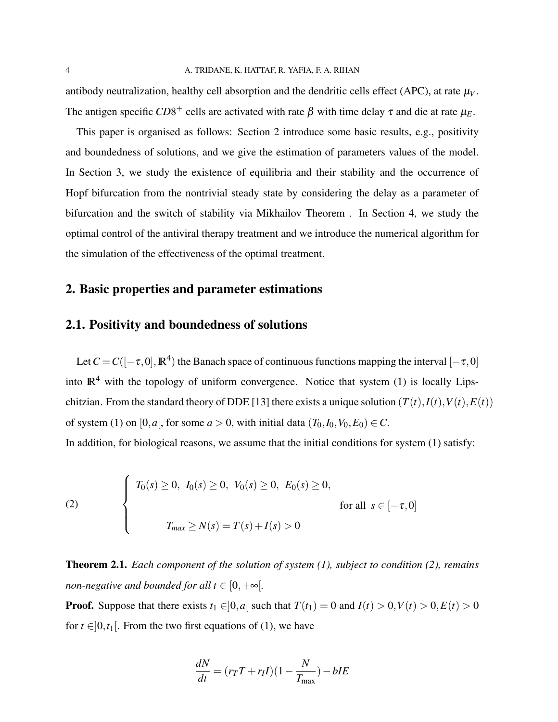antibody neutralization, healthy cell absorption and the dendritic cells effect (APC), at rate  $\mu_V$ . The antigen specific  $CD8^+$  cells are activated with rate  $\beta$  with time delay  $\tau$  and die at rate  $\mu_E$ .

This paper is organised as follows: Section 2 introduce some basic results, e.g., positivity and boundedness of solutions, and we give the estimation of parameters values of the model. In Section 3, we study the existence of equilibria and their stability and the occurrence of Hopf bifurcation from the nontrivial steady state by considering the delay as a parameter of bifurcation and the switch of stability via Mikhailov Theorem . In Section 4, we study the optimal control of the antiviral therapy treatment and we introduce the numerical algorithm for the simulation of the effectiveness of the optimal treatment.

### 2. Basic properties and parameter estimations

### 2.1. Positivity and boundedness of solutions

Let  $C = C([-\tau, 0], \mathbb{R}^4)$  the Banach space of continuous functions mapping the interval  $[-\tau, 0]$ into  $\mathbb{R}^4$  with the topology of uniform convergence. Notice that system (1) is locally Lipschitzian. From the standard theory of DDE [13] there exists a unique solution  $(T(t), I(t), V(t), E(t))$ of system (1) on [0, *a*], for some  $a > 0$ , with initial data  $(T_0, I_0, V_0, E_0) \in C$ .

In addition, for biological reasons, we assume that the initial conditions for system (1) satisfy:

(2) 
$$
\begin{cases} T_0(s) \ge 0, I_0(s) \ge 0, V_0(s) \ge 0, E_0(s) \ge 0, \\ \text{for all } s \in [-\tau, 0] \\ T_{max} \ge N(s) = T(s) + I(s) > 0 \end{cases}
$$

Theorem 2.1. *Each component of the solution of system (1), subject to condition (2), remains non-negative and bounded for all t*  $\in$  [0,  $+\infty$ [.

**Proof.** Suppose that there exists  $t_1 \in ]0,a]$  such that  $T(t_1) = 0$  and  $I(t) > 0, V(t) > 0, E(t) > 0$ for  $t \in ]0,t_1[$ . From the two first equations of (1), we have

$$
\frac{dN}{dt} = (r_T T + r_I I)(1 - \frac{N}{T_{\text{max}}}) - bIE
$$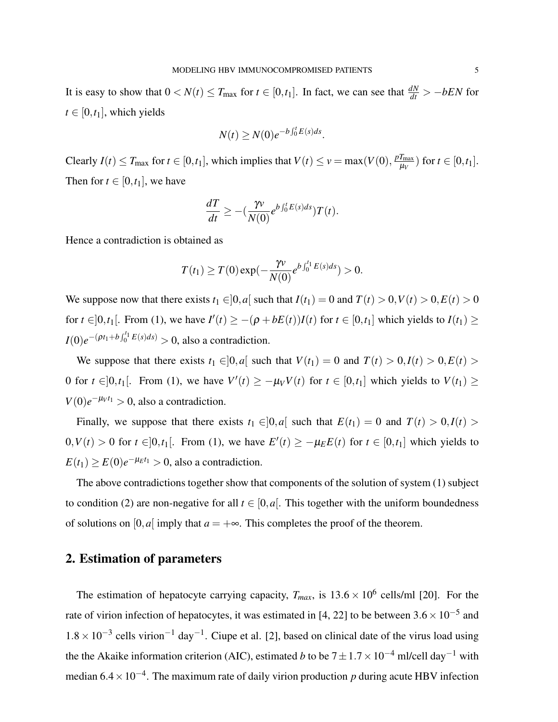It is easy to show that  $0 < N(t) \leq T_{\text{max}}$  for  $t \in [0, t_1]$ . In fact, we can see that  $\frac{dN}{dt} > -bEN$  for  $t \in [0, t_1]$ , which yields

$$
N(t) \ge N(0)e^{-b\int_0^t E(s)ds}.
$$

Clearly  $I(t) \leq T_{\text{max}}$  for  $t \in [0, t_1]$ , which implies that  $V(t) \leq v = \max(V(0), \frac{pT_{\text{max}}}{u_V})$  $\frac{I_{\text{max}}}{\mu_V}$ ) for  $t \in [0, t_1]$ . Then for  $t \in [0, t_1]$ , we have

$$
\frac{dT}{dt} \geq -(\frac{\gamma v}{N(0)} e^{b\int_0^t E(s)ds})T(t).
$$

Hence a contradiction is obtained as

$$
T(t_1) \geq T(0) \exp(-\frac{\gamma v}{N(0)} e^{b \int_0^t E(s) ds}) > 0.
$$

We suppose now that there exists  $t_1 \in ]0, a]$  such that  $I(t_1) = 0$  and  $T(t) > 0, V(t) > 0, E(t) > 0$ for  $t \in ]0, t_1[$ . From (1), we have  $I'(t) \ge -(\rho + bE(t))I(t)$  for  $t \in [0, t_1]$  which yields to  $I(t_1) \ge$ *I*(0) $e^{-(\rho t_1 + b \int_0^{t_1} E(s) ds)} > 0$ , also a contradiction.

We suppose that there exists  $t_1 \in ]0,a]$  such that  $V(t_1) = 0$  and  $T(t) > 0, I(t) > 0, E(t) > 0$ 0 for  $t \in ]0,t_1[$ . From (1), we have  $V'(t) \ge -\mu_V V(t)$  for  $t \in [0,t_1]$  which yields to  $V(t_1) \ge$  $V(0)e^{-\mu_V t_1} > 0$ , also a contradiction.

Finally, we suppose that there exists  $t_1 \in ]0,a]$  such that  $E(t_1) = 0$  and  $T(t) > 0, I(t) > 0$  $0, V(t) > 0$  for  $t \in ]0, t_1[$ . From (1), we have  $E'(t) \ge -\mu_E E(t)$  for  $t \in [0, t_1]$  which yields to  $E(t_1) \ge E(0)e^{-\mu_E t_1} > 0$ , also a contradiction.

The above contradictions together show that components of the solution of system (1) subject to condition (2) are non-negative for all  $t \in [0, a]$ . This together with the uniform boundedness of solutions on  $[0, a]$  imply that  $a = +\infty$ . This completes the proof of the theorem.

## 2. Estimation of parameters

The estimation of hepatocyte carrying capacity,  $T_{max}$ , is  $13.6 \times 10^6$  cells/ml [20]. For the rate of virion infection of hepatocytes, it was estimated in [4, 22] to be between  $3.6 \times 10^{-5}$  and  $1.8 \times 10^{-3}$  cells virion<sup>-1</sup> day<sup>-1</sup>. Ciupe et al. [2], based on clinical date of the virus load using the the Akaike information criterion (AIC), estimated *b* to be  $7 \pm 1.7 \times 10^{-4}$  ml/cell day<sup>-1</sup> with median 6.4 × 10<sup>-4</sup>. The maximum rate of daily virion production *p* during acute HBV infection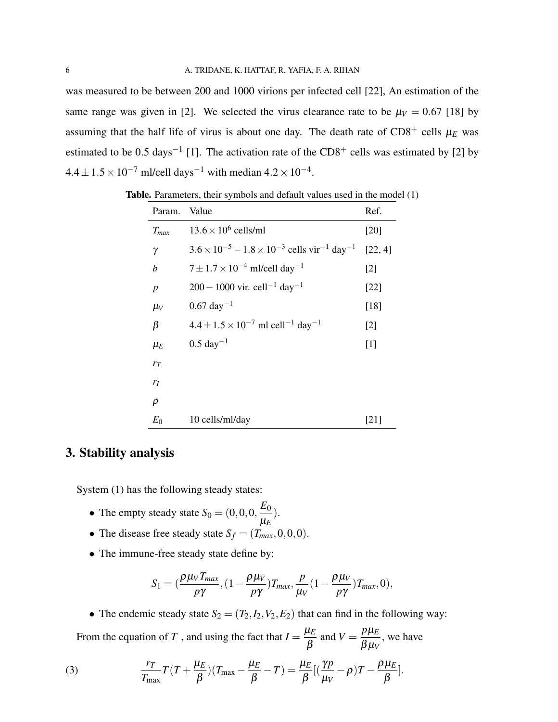was measured to be between 200 and 1000 virions per infected cell [22], An estimation of the same range was given in [2]. We selected the virus clearance rate to be  $\mu_V = 0.67$  [18] by assuming that the half life of virus is about one day. The death rate of  $CD8^+$  cells  $\mu_E$  was estimated to be 0.5 days<sup>-1</sup> [1]. The activation rate of the CD8<sup>+</sup> cells was estimated by [2] by  $4.4 \pm 1.5 \times 10^{-7}$  ml/cell days<sup>-1</sup> with median  $4.2 \times 10^{-4}$ .

| Param.           | Value                                                                               | Ref.    |
|------------------|-------------------------------------------------------------------------------------|---------|
| $T_{max}$        | $13.6 \times 10^6$ cells/ml                                                         | [20]    |
| γ                | $3.6 \times 10^{-5} - 1.8 \times 10^{-3}$ cells vir <sup>-1</sup> day <sup>-1</sup> | [22, 4] |
| b                | $7 \pm 1.7 \times 10^{-4}$ ml/cell day <sup>-1</sup>                                | $[2]$   |
| $\boldsymbol{p}$ | $200 - 1000$ vir. cell <sup>-1</sup> day <sup>-1</sup>                              | $[22]$  |
| $\mu_V$          | $0.67 \text{ day}^{-1}$                                                             | $[18]$  |
| β                | $4.4 \pm 1.5 \times 10^{-7}$ ml cell <sup>-1</sup> day <sup>-1</sup>                | $[2]$   |
| $\mu_E$          | $0.5 \text{ day}^{-1}$                                                              | $[1]$   |
| $r_T$            |                                                                                     |         |
| $r_I$            |                                                                                     |         |
| $\rho$           |                                                                                     |         |
| $E_0$            | 10 cells/ml/day                                                                     | 1211    |

Table. Parameters, their symbols and default values used in the model (1)

# 3. Stability analysis

System (1) has the following steady states:

- The empty steady state  $S_0 = (0, 0, 0, \frac{E_0}{E_0})$ µ*E* ).
- The disease free steady state  $S_f = (T_{max}, 0, 0, 0)$ .
- The immune-free steady state define by:

$$
S_1 = \left(\frac{\rho\mu_V T_{max}}{p\gamma}, \left(1 - \frac{\rho\mu_V}{p\gamma}\right) T_{max}, \frac{p}{\mu_V} \left(1 - \frac{\rho\mu_V}{p\gamma}\right) T_{max}, 0\right),\,
$$

• The endemic steady state  $S_2 = (T_2, I_2, V_2, E_2)$  that can find in the following way: From the equation of *T*, and using the fact that  $I = \frac{\mu_E}{\rho}$ β and  $V = \frac{p\mu_E}{\rho_H}$  $\beta\mu_V$ , we have

(3) 
$$
\frac{r_T}{T_{\text{max}}}T(T+\frac{\mu_E}{\beta})(T_{\text{max}}-\frac{\mu_E}{\beta}-T)=\frac{\mu_E}{\beta}[(\frac{\gamma p}{\mu_V}-\rho)T-\frac{\rho\mu_E}{\beta}].
$$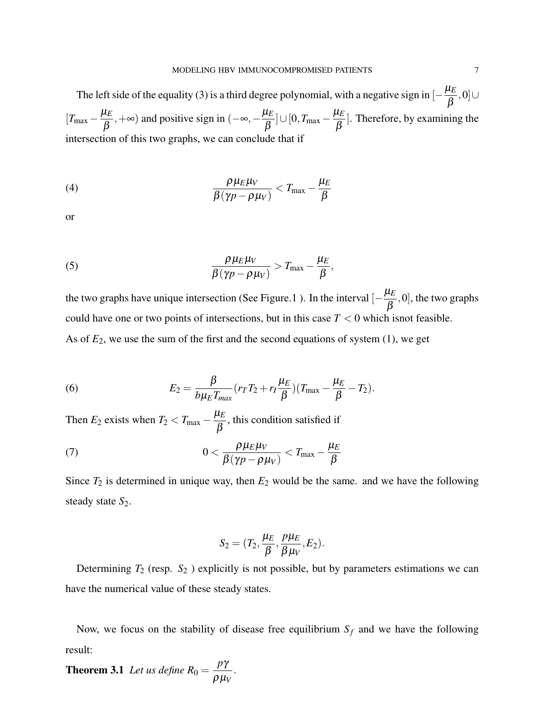The left side of the equality (3) is a third degree polynomial, with a negative sign in  $\left[-\frac{\mu_E}{\rho}\right]$ β ,0]∪  $[T_{\text{max}} - \frac{\mu_E}{\rho}]$ β , +∞) and positive sign in  $(-\infty, -\frac{\mu_E}{\rho})$ β ]∪[0,*T*max − µ*E* β ]. Therefore, by examining the intersection of this two graphs, we can conclude that if

(4) 
$$
\frac{\rho \mu_E \mu_V}{\beta (\gamma p - \rho \mu_V)} < T_{\text{max}} - \frac{\mu_E}{\beta}
$$

or

(5) 
$$
\frac{\rho \mu_E \mu_V}{\beta (\gamma p - \rho \mu_V)} > T_{\text{max}} - \frac{\mu_E}{\beta},
$$

the two graphs have unique intersection (See Figure.1). In the interval  $\left[-\frac{\mu_E}{\rho}\right]$ β ,0], the two graphs could have one or two points of intersections, but in this case  $T < 0$  which isnot feasible. As of  $E_2$ , we use the sum of the first and the second equations of system  $(1)$ , we get

(6) 
$$
E_2 = \frac{\beta}{b\mu_E T_{max}}(r_T T_2 + r_I \frac{\mu_E}{\beta})(T_{max} - \frac{\mu_E}{\beta} - T_2).
$$

Then  $E_2$  exists when  $T_2 < T_{\text{max}} - \frac{\mu_E}{\rho}$ β , this condition satisfied if

(7) 
$$
0 < \frac{\rho \mu_E \mu_V}{\beta (\gamma p - \rho \mu_V)} < T_{\text{max}} - \frac{\mu_E}{\beta}
$$

Since  $T_2$  is determined in unique way, then  $E_2$  would be the same. and we have the following steady state  $S_2$ .

$$
S_2=(T_2,\frac{\mu_E}{\beta},\frac{p\mu_E}{\beta\mu_V},E_2).
$$

Determining *T*<sup>2</sup> (resp. *S*<sup>2</sup> ) explicitly is not possible, but by parameters estimations we can have the numerical value of these steady states.

Now, we focus on the stability of disease free equilibrium  $S_f$  and we have the following result:

**Theorem 3.1** *Let us define*  $R_0 =$ *p*γ ρµ*V* .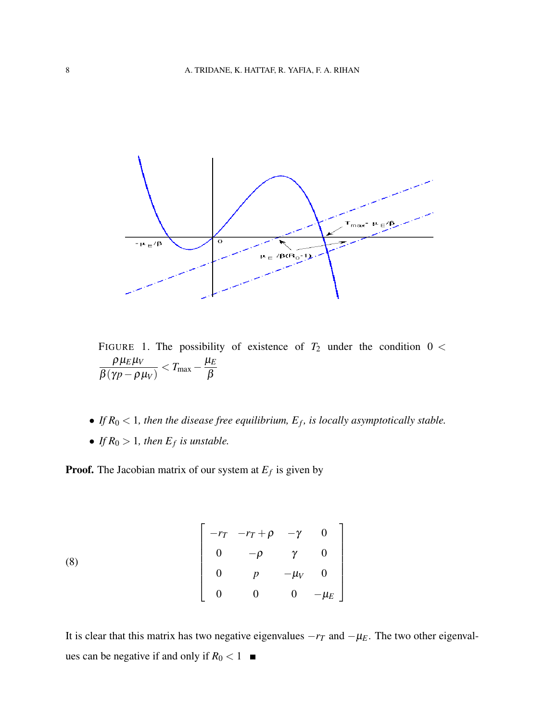

FIGURE 1. The possibility of existence of  $T_2$  under the condition  $0 <$  $\rho\,\mu_E^{}\mu_V^{}$  $β(γp - ρμ<sub>V</sub>)$  $\epsilon < T_{\text{max}} - \frac{\mu_E}{\rho}$ β

- If  $R_0 < 1$ , then the disease free equilibrium,  $E_f$ , is locally asymptotically stable.
- If  $R_0 > 1$ , then  $E_f$  is unstable.

Proof. The Jacobian matrix of our system at *E<sup>f</sup>* is given by

(8) 
$$
\begin{bmatrix} -r_T & -r_T + \rho & -\gamma & 0 \\ 0 & -\rho & \gamma & 0 \\ 0 & p & -\mu_V & 0 \\ 0 & 0 & 0 & -\mu_E \end{bmatrix}
$$

It is clear that this matrix has two negative eigenvalues  $-r<sub>T</sub>$  and  $-\mu<sub>E</sub>$ . The two other eigenvalues can be negative if and only if  $R_0 < 1$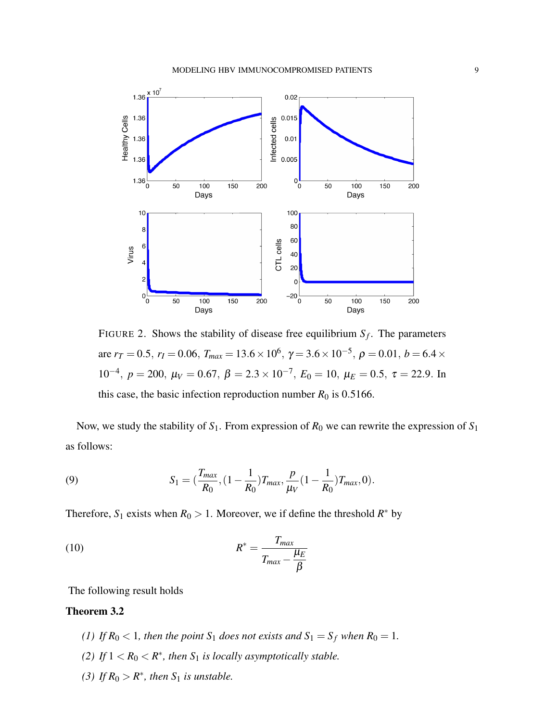

FIGURE 2. Shows the stability of disease free equilibrium  $S_f$ . The parameters are  $r_T = 0.5$ ,  $r_I = 0.06$ ,  $T_{max} = 13.6 \times 10^6$ ,  $\gamma = 3.6 \times 10^{-5}$ ,  $\rho = 0.01$ ,  $b = 6.4 \times$ 10<sup>-4</sup>, *p* = 200,  $\mu$ <sup>*V*</sup> = 0.67,  $\beta$  = 2.3 × 10<sup>-7</sup>,  $E$ <sub>0</sub> = 10,  $\mu$ <sup>E</sup> = 0.5, τ = 22.9. In this case, the basic infection reproduction number  $R_0$  is 0.5166.

Now, we study the stability of  $S_1$ . From expression of  $R_0$  we can rewrite the expression of  $S_1$ as follows:

(9) 
$$
S_1 = \left(\frac{T_{max}}{R_0}, \left(1 - \frac{1}{R_0}\right)T_{max}, \frac{p}{\mu_V}\left(1 - \frac{1}{R_0}\right)T_{max}, 0\right).
$$

Therefore,  $S_1$  exists when  $R_0 > 1$ . Moreover, we if define the threshold  $R^*$  by

(10) 
$$
R^* = \frac{T_{max}}{T_{max} - \frac{\mu_E}{\beta}}
$$

The following result holds

### Theorem 3.2

- *(1)* If  $R_0 < 1$ , then the point  $S_1$  does not exists and  $S_1 = S_f$  when  $R_0 = 1$ .
- *(2)* If  $1 < R_0 < R^*$ , then  $S_1$  is locally asymptotically stable.
- (3) If  $R_0 > R^*$ , then  $S_1$  *is unstable.*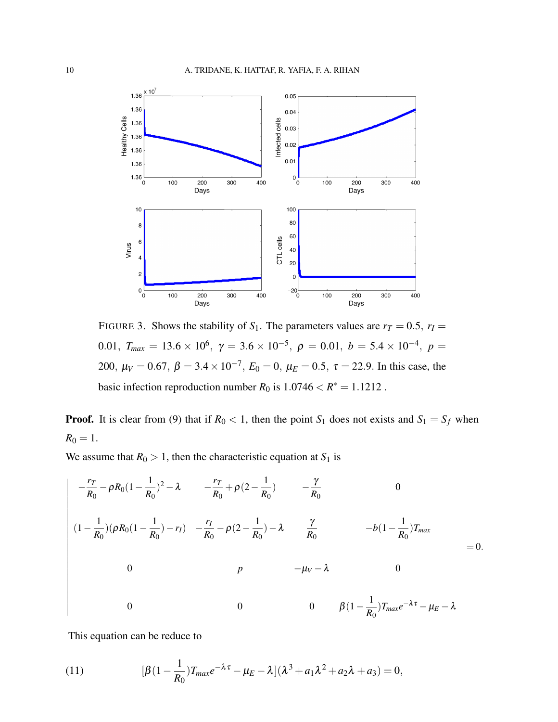

FIGURE 3. Shows the stability of  $S_1$ . The parameters values are  $r_T = 0.5$ ,  $r_I =$ 0.01, *T<sub>max</sub>* = 13.6 × 10<sup>6</sup>, γ = 3.6 × 10<sup>-5</sup>, ρ = 0.01, *b* = 5.4 × 10<sup>-4</sup>, ρ = 200,  $\mu_V = 0.67$ ,  $\beta = 3.4 \times 10^{-7}$ ,  $E_0 = 0$ ,  $\mu_E = 0.5$ ,  $\tau = 22.9$ . In this case, the basic infection reproduction number  $R_0$  is  $1.0746 < R^* = 1.1212$ .

**Proof.** It is clear from (9) that if  $R_0 < 1$ , then the point  $S_1$  does not exists and  $S_1 = S_f$  when  $R_0 = 1.$ 

We assume that  $R_0 > 1$ , then the characteristic equation at  $S_1$  is

$$
\begin{vmatrix}\n-\frac{r_T}{R_0} - \rho R_0 (1 - \frac{1}{R_0})^2 - \lambda & -\frac{r_T}{R_0} + \rho (2 - \frac{1}{R_0}) & -\frac{\gamma}{R_0} & 0 \\
(1 - \frac{1}{R_0}) (\rho R_0 (1 - \frac{1}{R_0}) - r_I) & -\frac{r_I}{R_0} - \rho (2 - \frac{1}{R_0}) - \lambda & \frac{\gamma}{R_0} & -b(1 - \frac{1}{R_0}) T_{max} \\
0 & p & -\mu_V - \lambda & 0 \\
0 & 0 & 0 & \beta (1 - \frac{1}{R_0}) T_{max} e^{-\lambda \tau} - \mu_E - \lambda\n\end{vmatrix} = 0.
$$

This equation can be reduce to

(11) 
$$
[\beta(1-\frac{1}{R_0})T_{max}e^{-\lambda\tau}-\mu_E-\lambda](\lambda^3+a_1\lambda^2+a_2\lambda+a_3)=0,
$$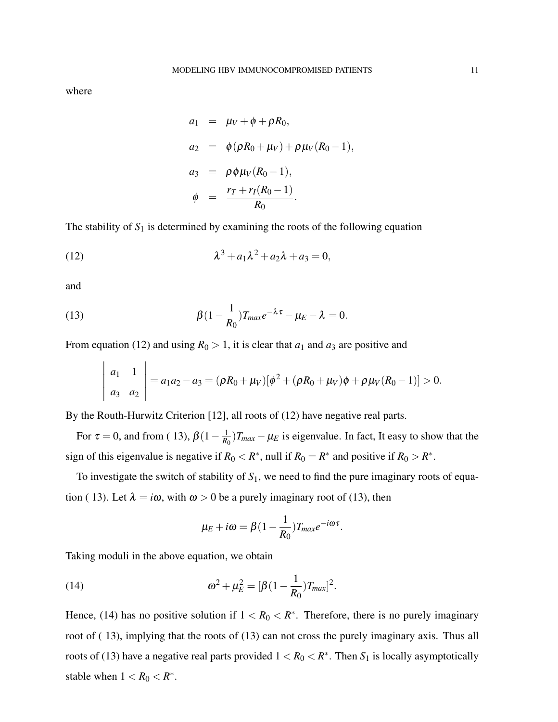where

$$
a_1 = \mu_V + \phi + \rho R_0,
$$
  
\n
$$
a_2 = \phi(\rho R_0 + \mu_V) + \rho \mu_V (R_0 - 1),
$$
  
\n
$$
a_3 = \rho \phi \mu_V (R_0 - 1),
$$
  
\n
$$
\phi = \frac{r_T + r_I (R_0 - 1)}{R_0}.
$$

The stability of  $S_1$  is determined by examining the roots of the following equation

(12) 
$$
\lambda^3 + a_1 \lambda^2 + a_2 \lambda + a_3 = 0,
$$

and

(13) 
$$
\beta(1-\frac{1}{R_0})T_{max}e^{-\lambda\tau}-\mu_E-\lambda=0.
$$

From equation (12) and using  $R_0 > 1$ , it is clear that  $a_1$  and  $a_3$  are positive and

$$
\left|\begin{array}{cc} a_1 & 1 \\ a_3 & a_2 \end{array}\right| = a_1a_2 - a_3 = (\rho R_0 + \mu_V)[\phi^2 + (\rho R_0 + \mu_V)\phi + \rho\mu_V(R_0 - 1)] > 0.
$$

By the Routh-Hurwitz Criterion [12], all roots of (12) have negative real parts.

For  $\tau = 0$ , and from (13),  $\beta(1 - \frac{1}{R_0})$  $\frac{1}{R_0}$ )*T*<sub>*max*</sub> −  $\mu_E$  is eigenvalue. In fact, It easy to show that the sign of this eigenvalue is negative if  $R_0 < R^*$ , null if  $R_0 = R^*$  and positive if  $R_0 > R^*$ .

To investigate the switch of stability of *S*1, we need to find the pure imaginary roots of equation ( 13). Let  $\lambda = i\omega$ , with  $\omega > 0$  be a purely imaginary root of (13), then

$$
\mu_E + i\omega = \beta(1 - \frac{1}{R_0})T_{max}e^{-i\omega\tau}.
$$

Taking moduli in the above equation, we obtain

(14) 
$$
\omega^2 + \mu_E^2 = [\beta(1 - \frac{1}{R_0})T_{max}]^2.
$$

Hence, (14) has no positive solution if  $1 < R_0 < R^*$ . Therefore, there is no purely imaginary root of ( 13), implying that the roots of (13) can not cross the purely imaginary axis. Thus all roots of (13) have a negative real parts provided  $1 < R_0 < R^*$ . Then  $S_1$  is locally asymptotically stable when  $1 < R_0 < R^*$ .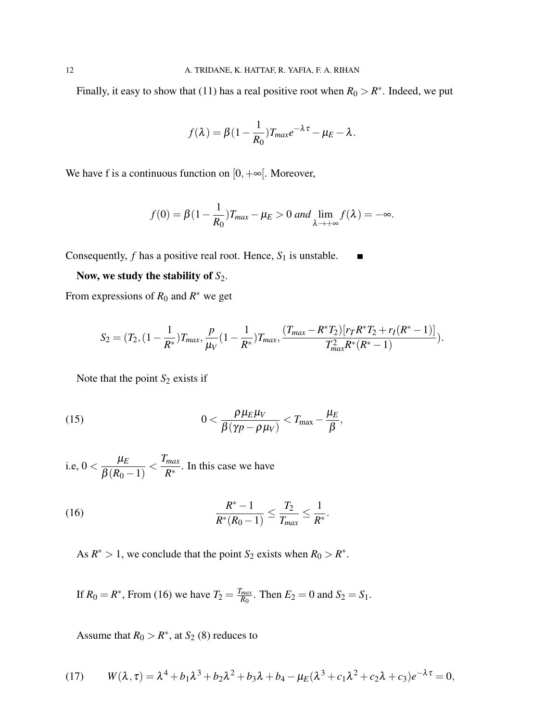Finally, it easy to show that (11) has a real positive root when  $R_0 > R^*$ . Indeed, we put

$$
f(\lambda) = \beta(1 - \frac{1}{R_0})T_{max}e^{-\lambda \tau} - \mu_E - \lambda.
$$

We have f is a continuous function on  $[0, +\infty]$ . Moreover,

$$
f(0) = \beta(1 - \frac{1}{R_0})T_{max} - \mu_E > 0 \text{ and } \lim_{\lambda \to +\infty} f(\lambda) = -\infty.
$$

Consequently,  $f$  has a positive real root. Hence,  $S_1$  is unstable.

# Now, we study the stability of  $S_2$ .

From expressions of  $R_0$  and  $R^*$  we get

$$
S_2 = (T_2, (1 - \frac{1}{R^*})T_{max}, \frac{p}{\mu_V}(1 - \frac{1}{R^*})T_{max}, \frac{(T_{max} - R^*T_2)[r_T R^* T_2 + r_I(R^* - 1)]}{T_{max}^2 R^*(R^* - 1)}).
$$

Note that the point *S*<sub>2</sub> exists if

(15) 
$$
0 < \frac{\rho \mu_E \mu_V}{\beta (\gamma p - \rho \mu_V)} < T_{\text{max}} - \frac{\mu_E}{\beta},
$$

i.e, 0  $< \frac{\mu_E}{\rho_{\text{C}} P_E}$  $\beta(R_0-1)$  $\langle \frac{T_{max}}{R^*} \rangle$  $\frac{max}{R^*}$ . In this case we have

(16) 
$$
\frac{R^*-1}{R^*(R_0-1)} \leq \frac{T_2}{T_{max}} \leq \frac{1}{R^*}.
$$

As  $R^* > 1$ , we conclude that the point  $S_2$  exists when  $R_0 > R^*$ .

If  $R_0 = R^*$ , From (16) we have  $T_2 = \frac{T_{max}}{R_0}$  $\frac{max}{R_0}$ . Then  $E_2 = 0$  and  $S_2 = S_1$ .

Assume that  $R_0 > R^*$ , at  $S_2$  (8) reduces to

(17) 
$$
W(\lambda, \tau) = \lambda^4 + b_1 \lambda^3 + b_2 \lambda^2 + b_3 \lambda + b_4 - \mu_E (\lambda^3 + c_1 \lambda^2 + c_2 \lambda + c_3) e^{-\lambda \tau} = 0,
$$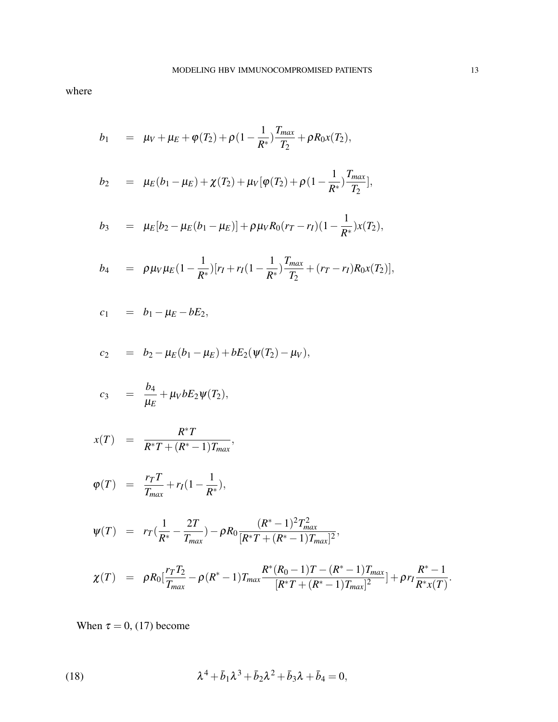where

$$
b_1 = \mu_V + \mu_E + \varphi(T_2) + \rho (1 - \frac{1}{R^*}) \frac{T_{max}}{T_2} + \rho R_0 x(T_2),
$$

$$
b_2 = \mu_E(b_1 - \mu_E) + \chi(T_2) + \mu_V[\varphi(T_2) + \rho(1 - \frac{1}{R^*}) \frac{T_{max}}{T_2}],
$$

$$
b_3 = \mu_E[b_2 - \mu_E(b_1 - \mu_E)] + \rho \mu_V R_0(r_T - r_I)(1 - \frac{1}{R^*})x(T_2),
$$

$$
b_4 = \rho \mu_V \mu_E (1 - \frac{1}{R^*}) [r_I + r_I (1 - \frac{1}{R^*}) \frac{T_{max}}{T_2} + (r_T - r_I) R_0 x(T_2)],
$$

$$
c_1 = b_1 - \mu_E - bE_2,
$$

$$
c_2 = b_2 - \mu_E(b_1 - \mu_E) + bE_2(\psi(T_2) - \mu_V),
$$

$$
c_3 = \frac{b_4}{\mu_E} + \mu_V b E_2 \psi(T_2),
$$

$$
x(T) = \frac{R^*T}{R^*T + (R^*-1)T_{max}},
$$

$$
\varphi(T) = \frac{r_T T}{T_{max}} + r_I(1 - \frac{1}{R^*}),
$$

$$
\psi(T) = r_T(\frac{1}{R^*} - \frac{2T}{T_{max}}) - \rho R_0 \frac{(R^* - 1)^2 T_{max}^2}{[R^*T + (R^* - 1)T_{max}]^2},
$$

$$
\chi(T) = \rho R_0 \left[ \frac{r_T T_2}{T_{max}} - \rho (R^* - 1) T_{max} \frac{R^* (R_0 - 1) T - (R^* - 1) T_{max}}{[R^* T + (R^* - 1) T_{max}]^2} \right] + \rho r_I \frac{R^* - 1}{R^* x(T)}.
$$

When  $\tau = 0$ , (17) become

(18) 
$$
\lambda^4 + \bar{b}_1 \lambda^3 + \bar{b}_2 \lambda^2 + \bar{b}_3 \lambda + \bar{b}_4 = 0,
$$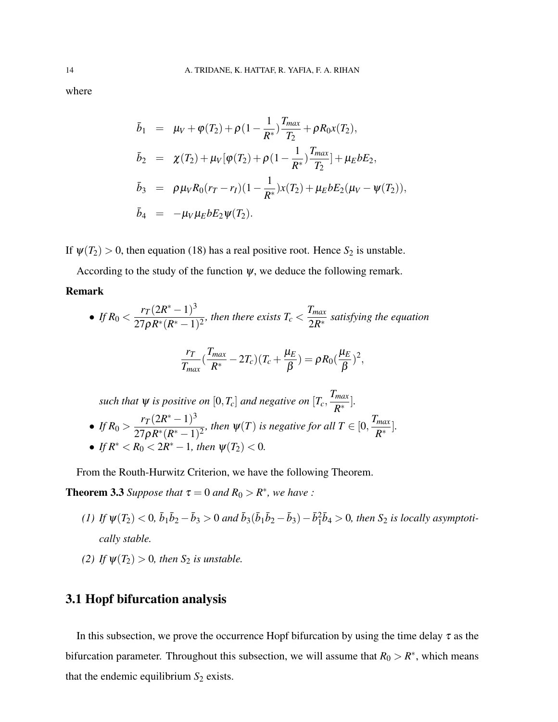where

$$
\bar{b}_1 = \mu_V + \varphi(T_2) + \rho (1 - \frac{1}{R^*}) \frac{T_{max}}{T_2} + \rho R_0 x(T_2),
$$
\n
$$
\bar{b}_2 = \chi(T_2) + \mu_V [\varphi(T_2) + \rho (1 - \frac{1}{R^*}) \frac{T_{max}}{T_2}] + \mu_E b E_2,
$$
\n
$$
\bar{b}_3 = \rho \mu_V R_0 (r_T - r_I) (1 - \frac{1}{R^*}) x(T_2) + \mu_E b E_2 (\mu_V - \psi(T_2)),
$$
\n
$$
\bar{b}_4 = -\mu_V \mu_E b E_2 \psi(T_2).
$$

If  $\psi(T_2) > 0$ , then equation (18) has a real positive root. Hence  $S_2$  is unstable.

According to the study of the function  $\psi$ , we deduce the following remark.

#### Remark

• If 
$$
R_0 < \frac{r_T(2R^* - 1)^3}{27\rho R^*(R^* - 1)^2}
$$
, then there exists  $T_c < \frac{T_{\text{max}}}{2R^*}$  satisfying the equation

$$
\frac{r_T}{T_{max}}(\frac{T_{max}}{R^*}-2T_c)(T_c+\frac{\mu_E}{\beta})=\rho R_0(\frac{\mu_E}{\beta})^2,
$$

such that 
$$
\psi
$$
 is positive on  $[0, T_c]$  and negative on  $[T_c, \frac{T_{max}}{R^*}]$ .  
\n• If  $R_0 > \frac{r_T(2R^* - 1)^3}{27\rho R^*(R^* - 1)^2}$ , then  $\psi(T)$  is negative for all  $T \in [0, \frac{T_{max}}{R^*}]$ .  
\n• If  $R^* < R_0 < 2R^* - 1$ , then  $\psi(T_2) < 0$ .

From the Routh-Hurwitz Criterion, we have the following Theorem.

**Theorem 3.3** Suppose that  $\tau = 0$  and  $R_0 > R^*$ , we have :

- $(1)$  If  $\psi(T_2) < 0$ ,  $\bar{b}_1\bar{b}_2 \bar{b}_3 > 0$  and  $\bar{b}_3(\bar{b}_1\bar{b}_2 \bar{b}_3) \bar{b}_1^2\bar{b}_4 > 0$ , then  $S_2$  is locally asymptoti*cally stable.*
- *(2) If*  $\psi(T_2) > 0$ *, then S*<sub>2</sub> *is unstable.*

## 3.1 Hopf bifurcation analysis

In this subsection, we prove the occurrence Hopf bifurcation by using the time delay  $\tau$  as the bifurcation parameter. Throughout this subsection, we will assume that  $R_0 > R^*$ , which means that the endemic equilibrium  $S_2$  exists.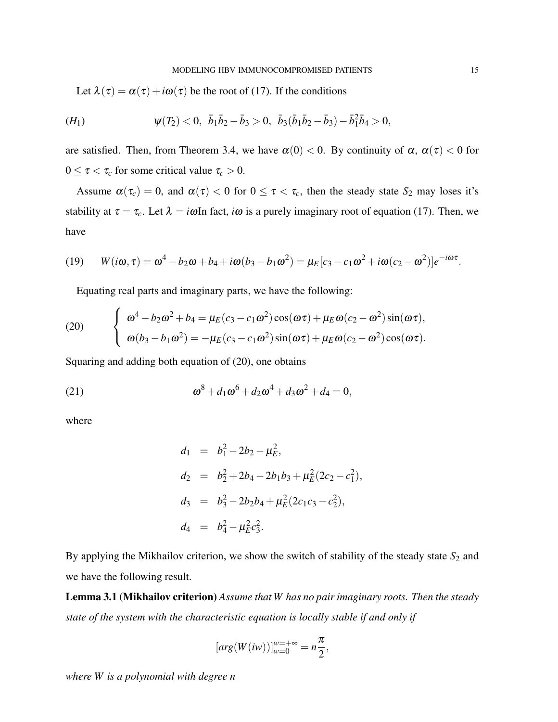Let  $\lambda(\tau) = \alpha(\tau) + i\omega(\tau)$  be the root of (17). If the conditions

$$
(H_1) \t\t \psi(T_2) < 0, \ \bar{b}_1 \bar{b}_2 - \bar{b}_3 > 0, \ \bar{b}_3(\bar{b}_1 \bar{b}_2 - \bar{b}_3) - \bar{b}_1^2 \bar{b}_4 > 0,
$$

are satisfied. Then, from Theorem 3.4, we have  $\alpha(0) < 0$ . By continuity of  $\alpha$ ,  $\alpha(\tau) < 0$  for  $0 \leq \tau < \tau_c$  for some critical value  $\tau_c > 0$ .

Assume  $\alpha(\tau_c) = 0$ , and  $\alpha(\tau) < 0$  for  $0 \le \tau < \tau_c$ , then the steady state  $S_2$  may loses it's stability at  $\tau = \tau_c$ . Let  $\lambda = i\omega$ In fact, *i* $\omega$  is a purely imaginary root of equation (17). Then, we have

(19) 
$$
W(i\omega, \tau) = \omega^4 - b_2\omega + b_4 + i\omega(b_3 - b_1\omega^2) = \mu_E[c_3 - c_1\omega^2 + i\omega(c_2 - \omega^2)]e^{-i\omega\tau}.
$$

Equating real parts and imaginary parts, we have the following:

(20) 
$$
\begin{cases} \omega^4 - b_2 \omega^2 + b_4 = \mu_E (c_3 - c_1 \omega^2) \cos(\omega \tau) + \mu_E \omega (c_2 - \omega^2) \sin(\omega \tau), \\ \omega (b_3 - b_1 \omega^2) = -\mu_E (c_3 - c_1 \omega^2) \sin(\omega \tau) + \mu_E \omega (c_2 - \omega^2) \cos(\omega \tau). \end{cases}
$$

Squaring and adding both equation of (20), one obtains

(21) 
$$
\omega^8 + d_1 \omega^6 + d_2 \omega^4 + d_3 \omega^2 + d_4 = 0,
$$

where

$$
d_1 = b_1^2 - 2b_2 - \mu_E^2,
$$
  
\n
$$
d_2 = b_2^2 + 2b_4 - 2b_1b_3 + \mu_E^2(2c_2 - c_1^2),
$$
  
\n
$$
d_3 = b_3^2 - 2b_2b_4 + \mu_E^2(2c_1c_3 - c_2^2),
$$
  
\n
$$
d_4 = b_4^2 - \mu_E^2c_3^2.
$$

By applying the Mikhailov criterion, we show the switch of stability of the steady state  $S_2$  and we have the following result.

Lemma 3.1 (Mikhailov criterion) *Assume that W has no pair imaginary roots. Then the steady state of the system with the characteristic equation is locally stable if and only if*

$$
[arg(W(iw))]_{w=0}^{w=+\infty}=n\frac{\pi}{2},
$$

*where W is a polynomial with degree n*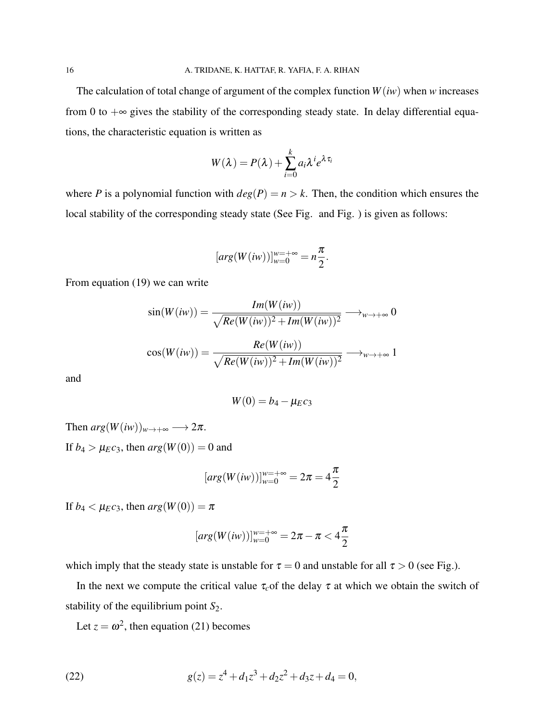The calculation of total change of argument of the complex function  $W(iw)$  when *w* increases from 0 to  $+\infty$  gives the stability of the corresponding steady state. In delay differential equations, the characteristic equation is written as

$$
W(\lambda) = P(\lambda) + \sum_{i=0}^{k} a_i \lambda^i e^{\lambda \tau_i}
$$

where *P* is a polynomial function with  $deg(P) = n > k$ . Then, the condition which ensures the local stability of the corresponding steady state (See Fig. and Fig. ) is given as follows:

$$
[arg(W(iw))]_{w=0}^{w=+\infty}=n\frac{\pi}{2}.
$$

From equation (19) we can write

$$
\sin(W(iw)) = \frac{Im(W(iw))}{\sqrt{Re(W(iw))^2 + Im(W(iw))^2}} \longrightarrow_{w \to +\infty} 0
$$

$$
\cos(W(iw)) = \frac{Re(W(iw))}{\sqrt{Re(W(iw))^2 + Im(W(iw))^2}} \longrightarrow_{w \to +\infty} 1
$$

and

$$
W(0)=b_4-\mu_Ec_3
$$

Then  $arg(W(iw))_{w\to+\infty} \longrightarrow 2\pi$ . If  $b_4 > \mu_E c_3$ , then  $arg(W(0)) = 0$  and

$$
[arg(W(iw))]_{w=0}^{w=+\infty} = 2\pi = 4\frac{\pi}{2}
$$

If  $b_4 < \mu_E c_3$ , then  $arg(W(0)) = \pi$ 

$$
[arg(W(iw))]_{w=0}^{w=+\infty} = 2\pi - \pi < 4\frac{\pi}{2}
$$

which imply that the steady state is unstable for  $\tau = 0$  and unstable for all  $\tau > 0$  (see Fig.).

In the next we compute the critical value  $\tau_c$  of the delay  $\tau$  at which we obtain the switch of stability of the equilibrium point  $S_2$ .

Let  $z = \omega^2$ , then equation (21) becomes

(22) 
$$
g(z) = z^4 + d_1 z^3 + d_2 z^2 + d_3 z + d_4 = 0,
$$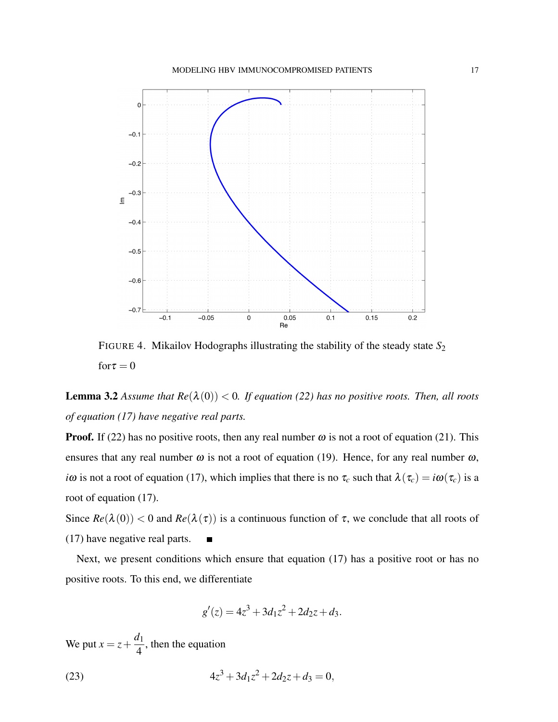

FIGURE 4. Mikailov Hodographs illustrating the stability of the steady state  $S_2$  $for \tau = 0$ 

**Lemma 3.2** Assume that  $Re(\lambda(0)) < 0$ . If equation (22) has no positive roots. Then, all roots *of equation (17) have negative real parts.*

**Proof.** If (22) has no positive roots, then any real number  $\omega$  is not a root of equation (21). This ensures that any real number  $\omega$  is not a root of equation (19). Hence, for any real number  $\omega$ , *i*ω is not a root of equation (17), which implies that there is no  $\tau_c$  such that  $\lambda(\tau_c) = i\omega(\tau_c)$  is a root of equation (17).

Since  $Re(\lambda(0)) < 0$  and  $Re(\lambda(\tau))$  is a continuous function of  $\tau$ , we conclude that all roots of (17) have negative real parts.  $\blacksquare$ 

Next, we present conditions which ensure that equation (17) has a positive root or has no positive roots. To this end, we differentiate

$$
g'(z) = 4z^3 + 3d_1z^2 + 2d_2z + d_3.
$$

We put  $x = z + \frac{d_1}{4}$ 4 , then the equation

(23) 
$$
4z^3 + 3d_1z^2 + 2d_2z + d_3 = 0,
$$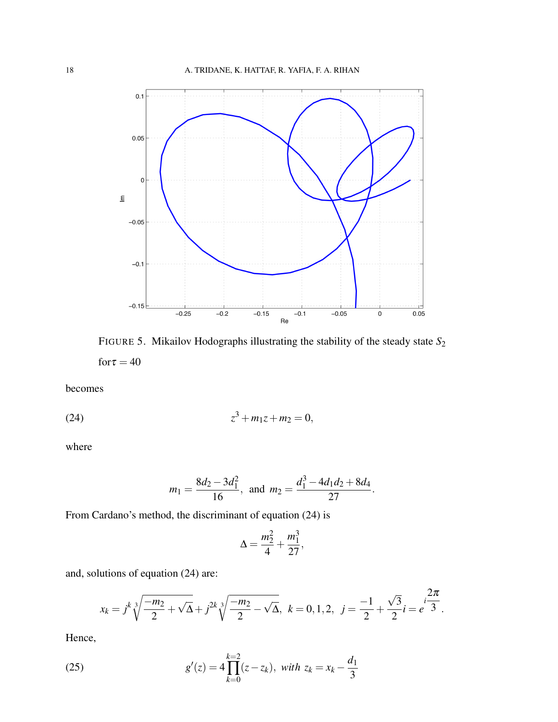

FIGURE 5. Mikailov Hodographs illustrating the stability of the steady state *S*<sup>2</sup> for  $\tau = 40$ 

becomes

(24) 
$$
z^3 + m_1 z + m_2 = 0,
$$

where

$$
m_1 = \frac{8d_2 - 3d_1^2}{16}
$$
, and  $m_2 = \frac{d_1^3 - 4d_1d_2 + 8d_4}{27}$ .

From Cardano's method, the discriminant of equation (24) is

$$
\Delta = \frac{m_2^2}{4} + \frac{m_1^3}{27},
$$

and, solutions of equation (24) are:

$$
x_k = j^k \sqrt[3]{\frac{-m_2}{2} + \sqrt{\Delta}} + j^{2k} \sqrt[3]{\frac{-m_2}{2} - \sqrt{\Delta}}, \ k = 0, 1, 2, \ j = \frac{-1}{2} + \frac{\sqrt{3}}{2}i = e^{i\frac{2\pi}{3}}.
$$

Hence,

(25) 
$$
g'(z) = 4 \prod_{k=0}^{k=2} (z - z_k), \text{ with } z_k = x_k - \frac{d_1}{3}
$$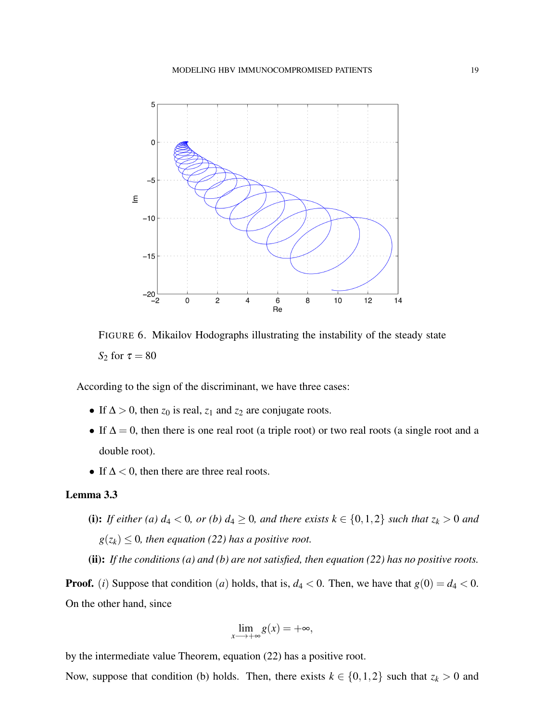

FIGURE 6. Mikailov Hodographs illustrating the instability of the steady state *S*<sub>2</sub> for  $\tau = 80$ 

According to the sign of the discriminant, we have three cases:

- If  $\Delta > 0$ , then  $z_0$  is real,  $z_1$  and  $z_2$  are conjugate roots.
- If  $\Delta = 0$ , then there is one real root (a triple root) or two real roots (a single root and a double root).
- If  $\Delta$  < 0, then there are three real roots.

### Lemma 3.3

(i): *If either (a)*  $d_4 < 0$ *, or (b)*  $d_4 \geq 0$ *, and there exists*  $k \in \{0, 1, 2\}$  *such that*  $z_k > 0$  *and*  $g(z_k) \leq 0$ , then equation (22) has a positive root.

(ii): *If the conditions (a) and (b) are not satisfied, then equation (22) has no positive roots.*

**Proof.** (*i*) Suppose that condition (*a*) holds, that is,  $d_4 < 0$ . Then, we have that  $g(0) = d_4 < 0$ . On the other hand, since

$$
\lim_{x \to +\infty} g(x) = +\infty,
$$

by the intermediate value Theorem, equation (22) has a positive root.

Now, suppose that condition (b) holds. Then, there exists  $k \in \{0, 1, 2\}$  such that  $z_k > 0$  and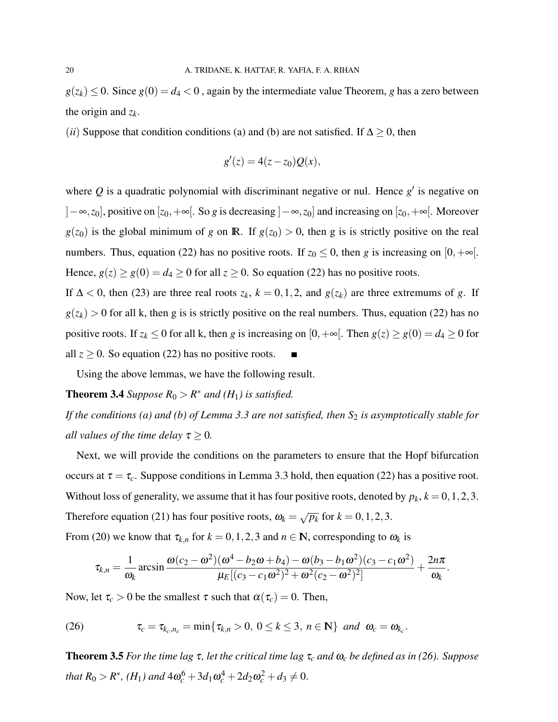$g(z_k) \leq 0$ . Since  $g(0) = d_4 < 0$ , again by the intermediate value Theorem, *g* has a zero between the origin and *z<sup>k</sup>* .

(*ii*) Suppose that condition conditions (a) and (b) are not satisfied. If  $\Delta \geq 0$ , then

$$
g'(z) = 4(z - z_0)Q(x),
$$

where  $Q$  is a quadratic polynomial with discriminant negative or nul. Hence  $g'$  is negative on ]−∞,*z*0], positive on [*z*0,+∞[. So *g* is decreasing ]−∞,*z*0] and increasing on [*z*0,+∞[. Moreover  $g(z_0)$  is the global minimum of *g* on **R**. If  $g(z_0) > 0$ , then *g* is is strictly positive on the real numbers. Thus, equation (22) has no positive roots. If  $z_0 \le 0$ , then *g* is increasing on [0, + $\infty$ [. Hence,  $g(z) \ge g(0) = d_4 \ge 0$  for all  $z \ge 0$ . So equation (22) has no positive roots.

If  $\Delta < 0$ , then (23) are three real roots  $z_k$ ,  $k = 0, 1, 2$ , and  $g(z_k)$  are three extremums of *g*. If  $g(z_k) > 0$  for all k, then g is is strictly positive on the real numbers. Thus, equation (22) has no positive roots. If  $z_k \le 0$  for all k, then *g* is increasing on  $[0, +\infty]$ . Then  $g(z) \ge g(0) = d_4 \ge 0$  for all  $z \ge 0$ . So equation (22) has no positive roots.

Using the above lemmas, we have the following result.

# **Theorem 3.4** Suppose  $R_0 > R^*$  and  $(H_1)$  is satisfied.

*If the conditions (a) and (b) of Lemma 3.3 are not satisfied, then S<sub>2</sub> is asymptotically stable for all values of the time delay*  $\tau \geq 0$ *.* 

Next, we will provide the conditions on the parameters to ensure that the Hopf bifurcation occurs at  $\tau = \tau_c$ . Suppose conditions in Lemma 3.3 hold, then equation (22) has a positive root. Without loss of generality, we assume that it has four positive roots, denoted by  $p_k$ ,  $k = 0, 1, 2, 3$ . Therefore equation (21) has four positive roots,  $\omega_k = \sqrt{p_k}$  for  $k = 0, 1, 2, 3$ .

From (20) we know that  $\tau_{k,n}$  for  $k = 0, 1, 2, 3$  and  $n \in \mathbb{N}$ , corresponding to  $\omega_k$  is

$$
\tau_{k,n} = \frac{1}{\omega_k} \arcsin \frac{\omega(c_2 - \omega^2)(\omega^4 - b_2\omega + b_4) - \omega(b_3 - b_1\omega^2)(c_3 - c_1\omega^2)}{\mu_E[(c_3 - c_1\omega^2)^2 + \omega^2(c_2 - \omega^2)^2]} + \frac{2n\pi}{\omega_k}.
$$

Now, let  $\tau_c > 0$  be the smallest  $\tau$  such that  $\alpha(\tau_c) = 0$ . Then,

(26) 
$$
\tau_c = \tau_{k_c, n_c} = \min\{\tau_{k,n} > 0, 0 \le k \le 3, n \in \mathbb{N}\} \text{ and } \omega_c = \omega_{k_c}.
$$

Theorem 3.5 *For the time lag* τ*, let the critical time lag* τ*<sup>c</sup> and* ω*<sup>c</sup> be defined as in (26). Suppose that*  $R_0 > R^*$ ,  $(H_1)$  and  $4\omega_c^6 + 3d_1\omega_c^4 + 2d_2\omega_c^2 + d_3 \neq 0$ .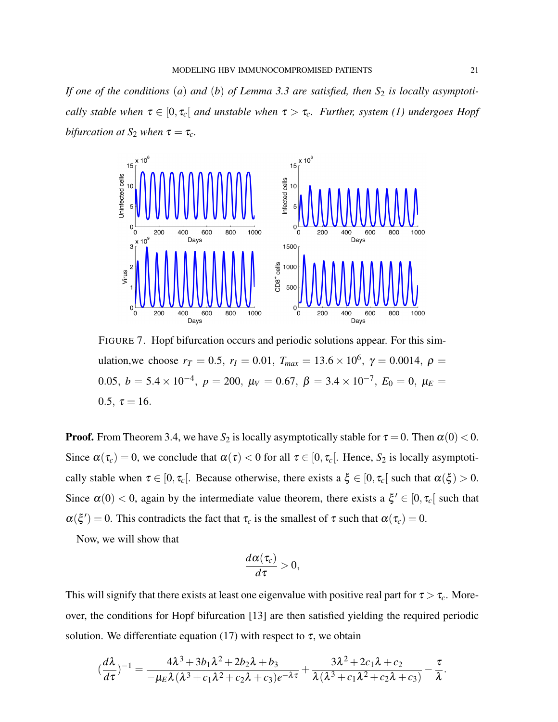*If one of the conditions* (*a*) *and* (*b*) *of Lemma 3.3 are satisfied, then*  $S_2$  *is locally asymptotically stable when*  $\tau \in [0, \tau_c]$  *and unstable when*  $\tau > \tau_c$ *. Further, system (1) undergoes Hopf bifurcation at*  $S_2$  *when*  $\tau = \tau_c$ *.* 



FIGURE 7. Hopf bifurcation occurs and periodic solutions appear. For this simulation, we choose  $r_T = 0.5$ ,  $r_I = 0.01$ ,  $T_{max} = 13.6 \times 10^6$ ,  $\gamma = 0.0014$ ,  $\rho =$  $0.05, b = 5.4 \times 10^{-4}, p = 200, μ<sub>V</sub> = 0.67, β = 3.4 \times 10^{-7}, E<sub>0</sub> = 0, μ<sub>E</sub> =$ 0.5,  $\tau = 16$ .

**Proof.** From Theorem 3.4, we have  $S_2$  is locally asymptotically stable for  $\tau = 0$ . Then  $\alpha(0) < 0$ . Since  $\alpha(\tau_c) = 0$ , we conclude that  $\alpha(\tau) < 0$  for all  $\tau \in [0, \tau_c]$ . Hence,  $S_2$  is locally asymptotically stable when  $\tau \in [0, \tau_c]$ . Because otherwise, there exists a  $\xi \in [0, \tau_c]$  such that  $\alpha(\xi) > 0$ . Since  $\alpha(0) < 0$ , again by the intermediate value theorem, there exists a  $\xi' \in [0, \tau_c]$  such that  $\alpha(\xi') = 0$ . This contradicts the fact that  $\tau_c$  is the smallest of  $\tau$  such that  $\alpha(\tau_c) = 0$ .

Now, we will show that

$$
\frac{d\alpha(\tau_c)}{d\tau}>0,
$$

This will signify that there exists at least one eigenvalue with positive real part for  $\tau > \tau_c$ . Moreover, the conditions for Hopf bifurcation [13] are then satisfied yielding the required periodic solution. We differentiate equation (17) with respect to  $\tau$ , we obtain

$$
(\frac{d\lambda}{d\tau})^{-1} = \frac{4\lambda^3 + 3b_1\lambda^2 + 2b_2\lambda + b_3}{-\mu_E\lambda(\lambda^3 + c_1\lambda^2 + c_2\lambda + c_3)e^{-\lambda\tau}} + \frac{3\lambda^2 + 2c_1\lambda + c_2}{\lambda(\lambda^3 + c_1\lambda^2 + c_2\lambda + c_3)} - \frac{\tau}{\lambda}.
$$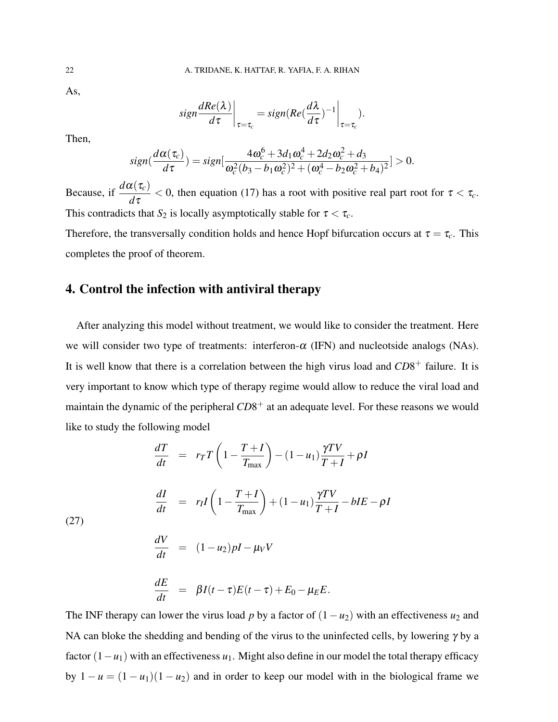As,

$$
sign \frac{dRe(\lambda)}{d\tau}\bigg|_{\tau=\tau_c} = sign(Re(\frac{d\lambda}{d\tau})^{-1}\bigg|_{\tau=\tau_c}
$$

).

Then,

$$
sign(\frac{d\alpha(\tau_c)}{d\tau}) = sign[\frac{4\omega_c^6 + 3d_1\omega_c^4 + 2d_2\omega_c^2 + d_3}{\omega_c^2(b_3 - b_1\omega_c^2)^2 + (\omega_c^4 - b_2\omega_c^2 + b_4)^2}] > 0.
$$

Because, if  $\frac{d\alpha(\tau_c)}{d\tau_c}$ *d*τ  $<$  0, then equation (17) has a root with positive real part root for  $\tau < \tau_c$ . This contradicts that  $S_2$  is locally asymptotically stable for  $\tau < \tau_c$ .

Therefore, the transversally condition holds and hence Hopf bifurcation occurs at  $\tau = \tau_c$ . This completes the proof of theorem.

## 4. Control the infection with antiviral therapy

After analyzing this model without treatment, we would like to consider the treatment. Here we will consider two type of treatments: interferon- $\alpha$  (IFN) and nucleotside analogs (NAs). It is well know that there is a correlation between the high virus load and  $CD8^+$  failure. It is very important to know which type of therapy regime would allow to reduce the viral load and maintain the dynamic of the peripheral  $CD8^+$  at an adequate level. For these reasons we would like to study the following model

$$
\frac{dT}{dt} = r_T T \left( 1 - \frac{T + I}{T_{\text{max}}} \right) - (1 - u_1) \frac{\gamma T V}{T + I} + \rho I
$$
\n
$$
\frac{dI}{dt} = r_I I \left( 1 - \frac{T + I}{T_{\text{max}}} \right) + (1 - u_1) \frac{\gamma T V}{T + I} - b I E - \rho I
$$

(27)

$$
\frac{dV}{dt} = (1 - u_2)pI - \mu_V V
$$

$$
\frac{dE}{dt} = \beta I(t-\tau)E(t-\tau) + E_0 - \mu_E E.
$$

The INF therapy can lower the virus load *p* by a factor of  $(1 - u_2)$  with an effectiveness  $u_2$  and NA can bloke the shedding and bending of the virus to the uninfected cells, by lowering  $\gamma$  by a factor (1−*u*1) with an effectiveness *u*1. Might also define in our model the total therapy efficacy by  $1 - u = (1 - u_1)(1 - u_2)$  and in order to keep our model with in the biological frame we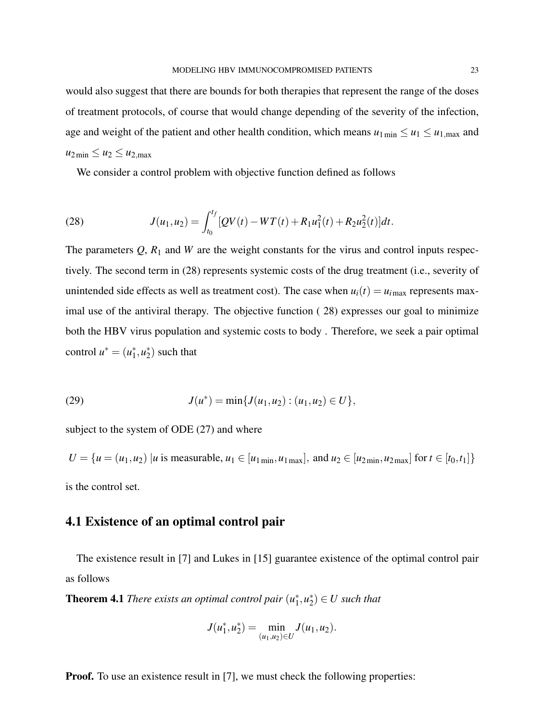would also suggest that there are bounds for both therapies that represent the range of the doses of treatment protocols, of course that would change depending of the severity of the infection, age and weight of the patient and other health condition, which means  $u_1_{\text{min}} \leq u_1 \leq u_1_{\text{max}}$  and  $u_{2\min} \leq u_2 \leq u_{2,\max}$ 

We consider a control problem with objective function defined as follows

(28) 
$$
J(u_1, u_2) = \int_{t_0}^{t_f} [QV(t) - WT(t) + R_1u_1^2(t) + R_2u_2^2(t)]dt.
$$

The parameters  $Q$ ,  $R_1$  and  $W$  are the weight constants for the virus and control inputs respectively. The second term in (28) represents systemic costs of the drug treatment (i.e., severity of unintended side effects as well as treatment cost). The case when  $u_i(t) = u_{i\text{max}}$  represents maximal use of the antiviral therapy. The objective function ( 28) expresses our goal to minimize both the HBV virus population and systemic costs to body . Therefore, we seek a pair optimal control  $u^* = (u_1^*)$  $i<sub>1</sub>$ <sup>\*</sup>,  $u<sub>2</sub>$ <sup>\*</sup>  $_{2}^{*}$ ) such that

(29) 
$$
J(u^*) = \min\{J(u_1, u_2) : (u_1, u_2) \in U\},\
$$

subject to the system of ODE (27) and where

 $U = \{u = (u_1, u_2) | u \text{ is measurable}, u_1 \in [u_1 \text{min}, u_1 \text{max}], \text{ and } u_2 \in [u_2 \text{min}, u_2 \text{max}] \text{ for } t \in [t_0, t_1] \}$ is the control set.

# 4.1 Existence of an optimal control pair

The existence result in [7] and Lukes in [15] guarantee existence of the optimal control pair as follows

Theorem 4.1 *There exists an optimal control pair* (*u* ∗  $i<sub>1</sub>$ <sup>\*</sup>,  $u<sub>2</sub>$ <sup>\*</sup>  $\binom{*}{2} \in U$  such that

$$
J(u_1^*, u_2^*) = \min_{(u_1, u_2) \in U} J(u_1, u_2).
$$

**Proof.** To use an existence result in [7], we must check the following properties: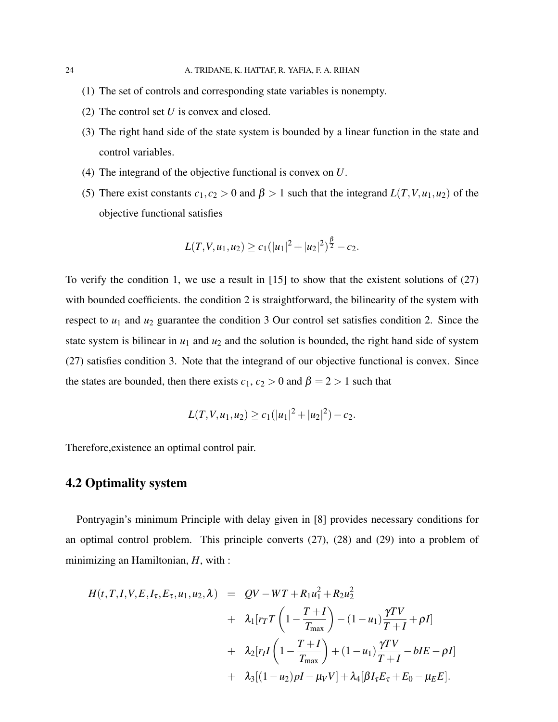- (1) The set of controls and corresponding state variables is nonempty.
- (2) The control set *U* is convex and closed.
- (3) The right hand side of the state system is bounded by a linear function in the state and control variables.
- (4) The integrand of the objective functional is convex on *U*.
- (5) There exist constants  $c_1, c_2 > 0$  and  $\beta > 1$  such that the integrand  $L(T, V, u_1, u_2)$  of the objective functional satisfies

$$
L(T, V, u_1, u_2) \geq c_1(|u_1|^2 + |u_2|^2)^{\frac{\beta}{2}} - c_2.
$$

To verify the condition 1, we use a result in [15] to show that the existent solutions of (27) with bounded coefficients. the condition 2 is straightforward, the bilinearity of the system with respect to  $u_1$  and  $u_2$  guarantee the condition 3 Our control set satisfies condition 2. Since the state system is bilinear in  $u_1$  and  $u_2$  and the solution is bounded, the right hand side of system (27) satisfies condition 3. Note that the integrand of our objective functional is convex. Since the states are bounded, then there exists  $c_1$ ,  $c_2 > 0$  and  $\beta = 2 > 1$  such that

$$
L(T, V, u_1, u_2) \ge c_1(|u_1|^2 + |u_2|^2) - c_2.
$$

Therefore,existence an optimal control pair.

# 4.2 Optimality system

Pontryagin's minimum Principle with delay given in [8] provides necessary conditions for an optimal control problem. This principle converts (27), (28) and (29) into a problem of minimizing an Hamiltonian, *H*, with :

$$
H(t, T, I, V, E, I_{\tau}, E_{\tau}, u_1, u_2, \lambda) = QV - WT + R_1u_1^2 + R_2u_2^2
$$
  
+  $\lambda_1 [rrT\left(1 - \frac{T + I}{T_{\text{max}}}\right) - (1 - u_1)\frac{\gamma TV}{T + I} + \rho I]$   
+  $\lambda_2 [r_I I\left(1 - \frac{T + I}{T_{\text{max}}}\right) + (1 - u_1)\frac{\gamma TV}{T + I} - bIE - \rho I]$   
+  $\lambda_3 [(1 - u_2)\rho I - \mu_V V] + \lambda_4 [\beta I_{\tau} E_{\tau} + E_0 - \mu_E E].$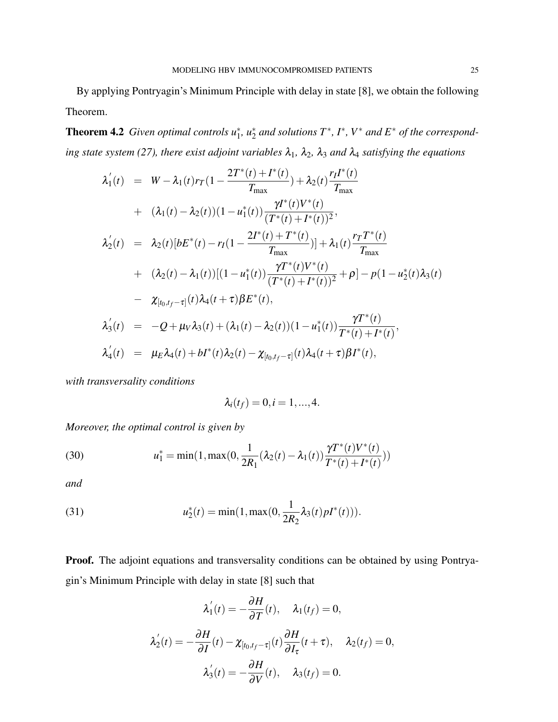By applying Pontryagin's Minimum Principle with delay in state [8], we obtain the following Theorem.

**Theorem 4.2** Given optimal controls  $u_1^*$ ,  $u_2^*$  and solutions  $T^*$ ,  $I^*$ ,  $V^*$  and  $E^*$  of the correspond*ing state system (27), there exist adjoint variables*  $\lambda_1$ ,  $\lambda_2$ ,  $\lambda_3$  *and*  $\lambda_4$  *satisfying the equations* 

∗

$$
\lambda_1'(t) = W - \lambda_1(t)r_T(1 - \frac{2T^*(t) + I^*(t)}{T_{\text{max}}}) + \lambda_2(t)\frac{r_I I^*(t)}{T_{\text{max}}} \n+ (\lambda_1(t) - \lambda_2(t))(1 - u_1^*(t))\frac{\gamma I^*(t)V^*(t)}{(T^*(t) + I^*(t))^2}, \n\lambda_2'(t) = \lambda_2(t)[bE^*(t) - r_I(1 - \frac{2I^*(t) + T^*(t)}{T_{\text{max}}})] + \lambda_1(t)\frac{r_T T^*(t)}{T_{\text{max}}} \n+ (\lambda_2(t) - \lambda_1(t))[(1 - u_1^*(t))\frac{\gamma T^*(t)V^*(t)}{(T^*(t) + I^*(t))^2} + \rho] - p(1 - u_2^*(t)\lambda_3(t) \n- \chi_{[t_0, t_f - \tau]}(t)\lambda_4(t + \tau)\beta E^*(t), \n\lambda_3'(t) = -Q + \mu_V\lambda_3(t) + (\lambda_1(t) - \lambda_2(t))(1 - u_1^*(t))\frac{\gamma T^*(t)}{T^*(t) + I^*(t)}, \n\lambda_4'(t) = \mu_E\lambda_4(t) + bI^*(t)\lambda_2(t) - \chi_{[t_0, t_f - \tau]}(t)\lambda_4(t + \tau)\beta I^*(t),
$$

*with transversality conditions*

$$
\lambda_i(t_f)=0, i=1,...,4.
$$

*Moreover, the optimal control is given by*

(30) 
$$
u_1^* = \min(1, \max(0, \frac{1}{2R_1}(\lambda_2(t) - \lambda_1(t))\frac{\gamma T^*(t)V^*(t)}{T^*(t) + I^*(t)}))
$$

*and*

(31) 
$$
u_2^*(t) = \min(1, \max(0, \frac{1}{2R_2} \lambda_3(t) pI^*(t))).
$$

Proof. The adjoint equations and transversality conditions can be obtained by using Pontryagin's Minimum Principle with delay in state [8] such that

$$
\lambda'_1(t) = -\frac{\partial H}{\partial T}(t), \quad \lambda_1(t_f) = 0,
$$
  

$$
\lambda'_2(t) = -\frac{\partial H}{\partial T}(t) - \chi_{[t_0, t_f - \tau]}(t)\frac{\partial H}{\partial I_{\tau}}(t + \tau), \quad \lambda_2(t_f) = 0,
$$
  

$$
\lambda'_3(t) = -\frac{\partial H}{\partial V}(t), \quad \lambda_3(t_f) = 0.
$$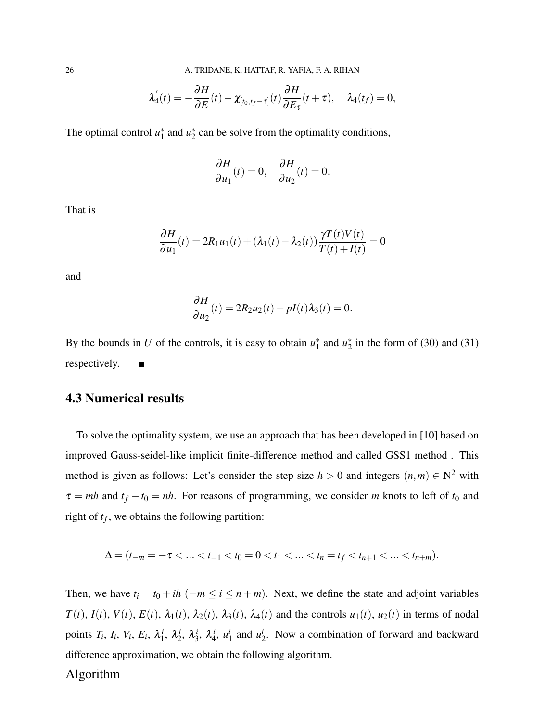$$
\lambda_4'(t) = -\frac{\partial H}{\partial E}(t) - \chi_{[t_0,t_f-\tau]}(t)\frac{\partial H}{\partial E_\tau}(t+\tau), \quad \lambda_4(t_f) = 0,
$$

The optimal control  $u_1^*$  $i_1^*$  and  $u_2^*$  $2<sub>2</sub>$  can be solve from the optimality conditions,

$$
\frac{\partial H}{\partial u_1}(t) = 0, \quad \frac{\partial H}{\partial u_2}(t) = 0.
$$

That is

$$
\frac{\partial H}{\partial u_1}(t) = 2R_1u_1(t) + (\lambda_1(t) - \lambda_2(t))\frac{\gamma T(t)V(t)}{T(t) + I(t)} = 0
$$

and

$$
\frac{\partial H}{\partial u_2}(t) = 2R_2u_2(t) - pI(t)\lambda_3(t) = 0.
$$

By the bounds in *U* of the controls, it is easy to obtain  $u_1^*$  $i_1^*$  and  $u_2^*$  $2^*$  in the form of (30) and (31) respectively.  $\blacksquare$ 

## 4.3 Numerical results

To solve the optimality system, we use an approach that has been developed in [10] based on improved Gauss-seidel-like implicit finite-difference method and called GSS1 method . This method is given as follows: Let's consider the step size  $h > 0$  and integers  $(n,m) \in \mathbb{N}^2$  with  $\tau = m h$  and  $t_f - t_0 = nh$ . For reasons of programming, we consider *m* knots to left of  $t_0$  and right of  $t_f$ , we obtains the following partition:

$$
\Delta=(t_{-m}=-\tau<\ldots
$$

Then, we have  $t_i = t_0 + ih$  ( $-m \le i \le n + m$ ). Next, we define the state and adjoint variables  $T(t)$ ,  $I(t)$ ,  $V(t)$ ,  $E(t)$ ,  $\lambda_1(t)$ ,  $\lambda_2(t)$ ,  $\lambda_3(t)$ ,  $\lambda_4(t)$  and the controls  $u_1(t)$ ,  $u_2(t)$  in terms of nodal points  $T_i$ ,  $I_i$ ,  $V_i$ ,  $E_i$ ,  $\lambda_1^i$  $i_1^i$ ,  $\lambda_2^i$  $i_2^i$ ,  $\lambda_3^i$  $\frac{i}{3}$ ,  $\lambda_4^i$  $\frac{i}{4}$ ,  $u_1^i$  $i_1$  and  $u_2^i$  $\frac{1}{2}$ . Now a combination of forward and backward difference approximation, we obtain the following algorithm.

## Algorithm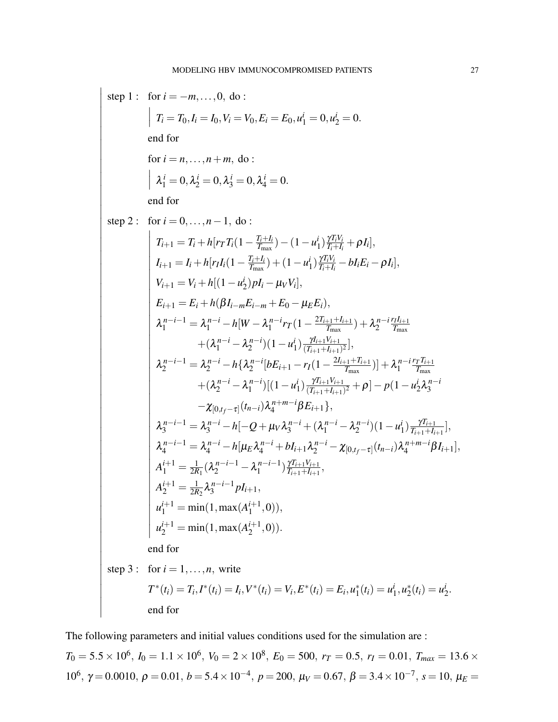$$
\begin{array}{ll}\n\text{step 1:} & \text{for } i = -m, \ldots, 0, \text{ do :} \\
& | T_i = T_0, I_i = I_0, V_i = V_0, E_i = E_0, u_1' = 0, u_2' = 0. \\
& \text{end for} \\
& \text{for } i = n, \ldots, n + m, \text{ do :} \\
& |\lambda_i^i = 0, \lambda_2^i = 0, \lambda_3^i = 0, \lambda_4^i = 0. \\
& \text{end for} \\
\text{step 2:} & \text{for } i = 0, \ldots, n - 1, \text{ do :} \\
& | T_{i+1} = T_i + h[r_T T_i(1 - \frac{T_i + I_i}{T_{\text{max}}}) - (1 - u_1^i) \frac{\gamma T_i V_i}{T_i + I_i} + \rho I_i], \\
& | I_{i+1} = I_i + h[r_T I_i(1 - \frac{T_i + I_i}{T_{\text{max}}}) + (1 - u_1^i) \frac{\gamma T_i V_i}{T_i + I_i} - b I_i E_i - \rho I_i], \\
& | I_{i+1} = V_i + h[(1 - u_2^i) p I_i - \mu_V V_i], \\
& | I_{i+1} = V_i + h[\left(1 - u_2^i\right) p I_i - \mu_V V_i], \\
& | I_{i+1} = E_i + h[\beta I_{i-m} E_{i-m} + E_0 - \mu_E E_i), \\
& \lambda_i^{n-i-1} = \lambda_i^{n-i} - h[W - \lambda_i^{n-i} r_T (1 - \frac{2T_{i+1} + I_{i+1}}{T_{\text{max}}}) + \lambda_2^{n-i} \frac{T_{i+1}}{T_{\text{max}}} \\
& | \lambda_2^{n-i-1} = \lambda_2^{n-i} - h[\lambda_2^{n-i} [b E_{i+1} - r_T (1 - \frac{2I_{i+1} + T_{i+1}}{T_{\text{max}}})] + \lambda_1^{n-i} \frac{r T_{i+1}}{T_{\text{max}}} \\
& | \lambda_2^{n-i-1} = \lambda_2^{n-i} - h[\lambda_2^{n-i} [b E_{i+1} - r_T (1 - \frac{2I_{i+1} + T_{i+1}}{T_{\text{max}}})] + \lambda_1^{n-i} \frac{r T_{i+1}}{T_{\text{max}}} \\
& |
$$

end for

I  $\mid$ 

The following parameters and initial values conditions used for the simulation are :

 $T_0 = 5.5 \times 10^6$ ,  $I_0 = 1.1 \times 10^6$ ,  $V_0 = 2 \times 10^8$ ,  $E_0 = 500$ ,  $r_T = 0.5$ ,  $r_I = 0.01$ ,  $T_{max} = 13.6 \times$ 10<sup>6</sup>, γ = 0.0010, ρ = 0.01, *b* = 5.4 × 10<sup>-4</sup>, *p* = 200,  $μ$ <sup>*v*</sup> = 0.67, β = 3.4 × 10<sup>-7</sup>, *s* = 10,  $μ$ <sup>*E*</sup>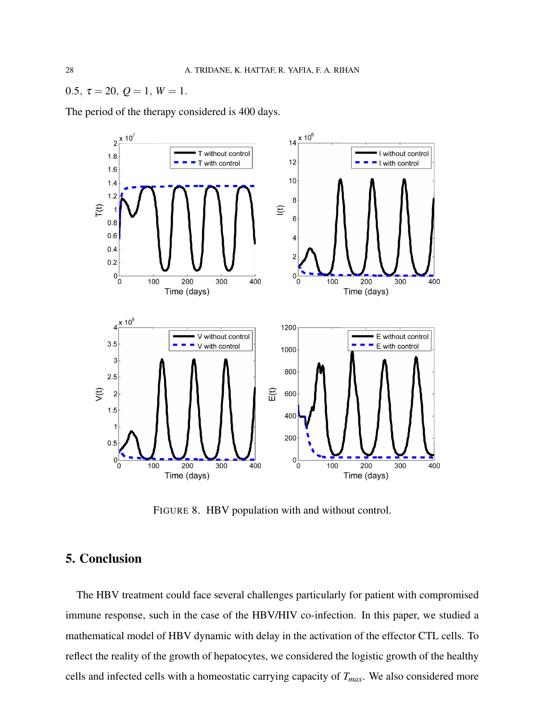0.5,  $\tau = 20$ ,  $Q = 1$ ,  $W = 1$ .

The period of the therapy considered is 400 days.



FIGURE 8. HBV population with and without control.

# 5. Conclusion

The HBV treatment could face several challenges particularly for patient with compromised immune response, such in the case of the HBV/HIV co-infection. In this paper, we studied a mathematical model of HBV dynamic with delay in the activation of the effector CTL cells. To reflect the reality of the growth of hepatocytes, we considered the logistic growth of the healthy cells and infected cells with a homeostatic carrying capacity of *Tmax*. We also considered more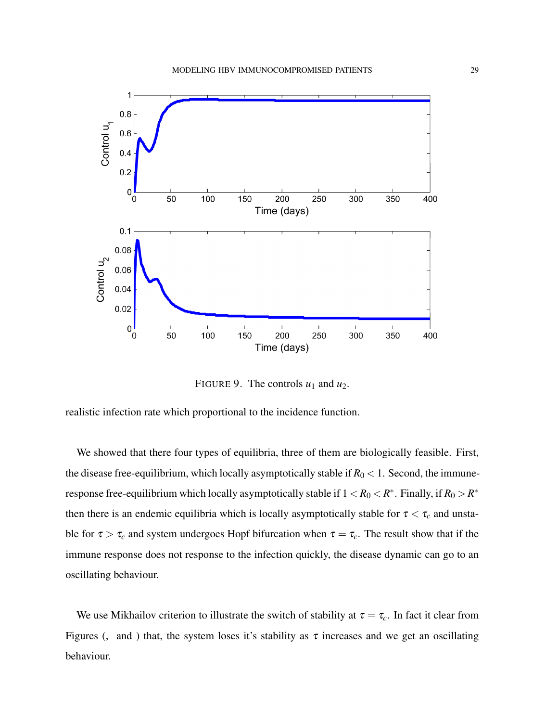

FIGURE 9. The controls  $u_1$  and  $u_2$ .

realistic infection rate which proportional to the incidence function.

We showed that there four types of equilibria, three of them are biologically feasible. First, the disease free-equilibrium, which locally asymptotically stable if  $R_0 < 1$ . Second, the immuneresponse free-equilibrium which locally asymptotically stable if  $1 < R_0 < R^*$ . Finally, if  $R_0 > R^*$ then there is an endemic equilibria which is locally asymptotically stable for  $\tau < \tau_c$  and unstable for  $\tau > \tau_c$  and system undergoes Hopf bifurcation when  $\tau = \tau_c$ . The result show that if the immune response does not response to the infection quickly, the disease dynamic can go to an oscillating behaviour.

We use Mikhailov criterion to illustrate the switch of stability at  $\tau = \tau_c$ . In fact it clear from Figures (, and ) that, the system loses it's stability as  $\tau$  increases and we get an oscillating behaviour.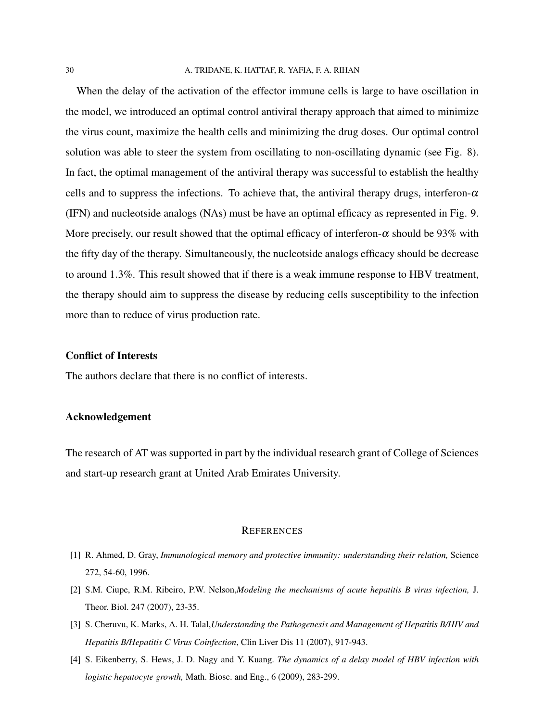#### 30 A. TRIDANE, K. HATTAF, R. YAFIA, F. A. RIHAN

When the delay of the activation of the effector immune cells is large to have oscillation in the model, we introduced an optimal control antiviral therapy approach that aimed to minimize the virus count, maximize the health cells and minimizing the drug doses. Our optimal control solution was able to steer the system from oscillating to non-oscillating dynamic (see Fig. 8). In fact, the optimal management of the antiviral therapy was successful to establish the healthy cells and to suppress the infections. To achieve that, the antiviral therapy drugs, interferon- $\alpha$ (IFN) and nucleotside analogs (NAs) must be have an optimal efficacy as represented in Fig. 9. More precisely, our result showed that the optimal efficacy of interferon- $\alpha$  should be 93% with the fifty day of the therapy. Simultaneously, the nucleotside analogs efficacy should be decrease to around 1.3%. This result showed that if there is a weak immune response to HBV treatment, the therapy should aim to suppress the disease by reducing cells susceptibility to the infection more than to reduce of virus production rate.

#### Conflict of Interests

The authors declare that there is no conflict of interests.

### Acknowledgement

The research of AT was supported in part by the individual research grant of College of Sciences and start-up research grant at United Arab Emirates University.

#### **REFERENCES**

- [1] R. Ahmed, D. Gray, *Immunological memory and protective immunity: understanding their relation,* Science 272, 54-60, 1996.
- [2] S.M. Ciupe, R.M. Ribeiro, P.W. Nelson,*Modeling the mechanisms of acute hepatitis B virus infection,* J. Theor. Biol. 247 (2007), 23-35.
- [3] S. Cheruvu, K. Marks, A. H. Talal,*Understanding the Pathogenesis and Management of Hepatitis B/HIV and Hepatitis B/Hepatitis C Virus Coinfection*, Clin Liver Dis 11 (2007), 917-943.
- [4] S. Eikenberry, S. Hews, J. D. Nagy and Y. Kuang. *The dynamics of a delay model of HBV infection with logistic hepatocyte growth,* Math. Biosc. and Eng., 6 (2009), 283-299.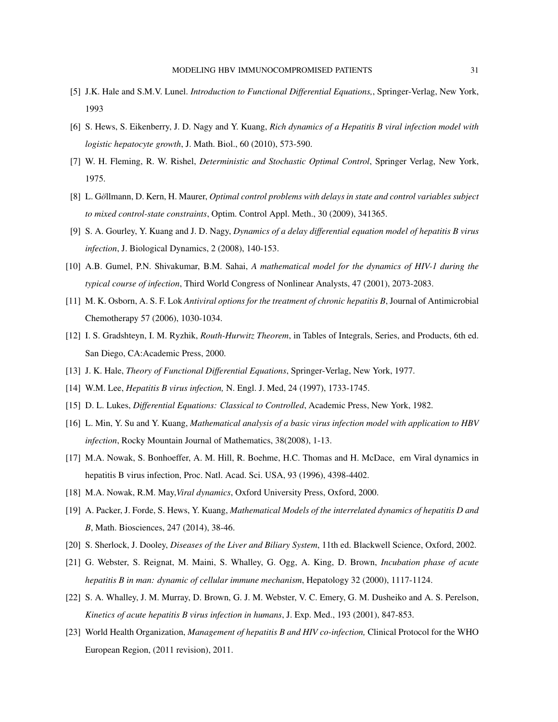- [5] J.K. Hale and S.M.V. Lunel. *Introduction to Functional Differential Equations,*, Springer-Verlag, New York, 1993
- [6] S. Hews, S. Eikenberry, J. D. Nagy and Y. Kuang, *Rich dynamics of a Hepatitis B viral infection model with logistic hepatocyte growth*, J. Math. Biol., 60 (2010), 573-590.
- [7] W. H. Fleming, R. W. Rishel, *Deterministic and Stochastic Optimal Control*, Springer Verlag, New York, 1975.
- [8] L. Göllmann, D. Kern, H. Maurer, *Optimal control problems with delays in state and control variables subject to mixed control-state constraints*, Optim. Control Appl. Meth., 30 (2009), 341365.
- [9] S. A. Gourley, Y. Kuang and J. D. Nagy, *Dynamics of a delay differential equation model of hepatitis B virus infection*, J. Biological Dynamics, 2 (2008), 140-153.
- [10] A.B. Gumel, P.N. Shivakumar, B.M. Sahai, *A mathematical model for the dynamics of HIV-1 during the typical course of infection*, Third World Congress of Nonlinear Analysts, 47 (2001), 2073-2083.
- [11] M. K. Osborn, A. S. F. Lok *Antiviral options for the treatment of chronic hepatitis B*, Journal of Antimicrobial Chemotherapy 57 (2006), 1030-1034.
- [12] I. S. Gradshteyn, I. M. Ryzhik, *Routh-Hurwitz Theorem*, in Tables of Integrals, Series, and Products, 6th ed. San Diego, CA:Academic Press, 2000.
- [13] J. K. Hale, *Theory of Functional Differential Equations*, Springer-Verlag, New York, 1977.
- [14] W.M. Lee, *Hepatitis B virus infection,* N. Engl. J. Med, 24 (1997), 1733-1745.
- [15] D. L. Lukes, *Differential Equations: Classical to Controlled*, Academic Press, New York, 1982.
- [16] L. Min, Y. Su and Y. Kuang, *Mathematical analysis of a basic virus infection model with application to HBV infection*, Rocky Mountain Journal of Mathematics, 38(2008), 1-13.
- [17] M.A. Nowak, S. Bonhoeffer, A. M. Hill, R. Boehme, H.C. Thomas and H. McDace, em Viral dynamics in hepatitis B virus infection, Proc. Natl. Acad. Sci. USA, 93 (1996), 4398-4402.
- [18] M.A. Nowak, R.M. May,*Viral dynamics*, Oxford University Press, Oxford, 2000.
- [19] A. Packer, J. Forde, S. Hews, Y. Kuang, *Mathematical Models of the interrelated dynamics of hepatitis D and B*, Math. Biosciences, 247 (2014), 38-46.
- [20] S. Sherlock, J. Dooley, *Diseases of the Liver and Biliary System*, 11th ed. Blackwell Science, Oxford, 2002.
- [21] G. Webster, S. Reignat, M. Maini, S. Whalley, G. Ogg, A. King, D. Brown, *Incubation phase of acute hepatitis B in man: dynamic of cellular immune mechanism*, Hepatology 32 (2000), 1117-1124.
- [22] S. A. Whalley, J. M. Murray, D. Brown, G. J. M. Webster, V. C. Emery, G. M. Dusheiko and A. S. Perelson, *Kinetics of acute hepatitis B virus infection in humans*, J. Exp. Med., 193 (2001), 847-853.
- [23] World Health Organization, *Management of hepatitis B and HIV co-infection,* Clinical Protocol for the WHO European Region, (2011 revision), 2011.